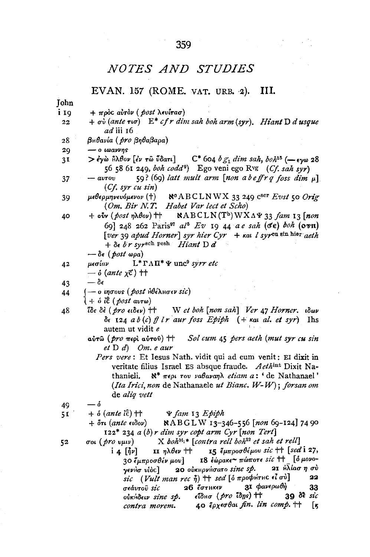## **NOTES AND STUDIES**

#### EVAN. 157 (ROME. VAT. URB. 2). HI.

Tohn

- i Io  $+ \pi \rho \delta c$  aυτόν ( post λευίτασ)
- $+ \sigma v ($  (ante  $\tau v \sigma)$ )  $E^*$  cf r dim sah boh arm (syr). Hiant D d usque  $22$ ad iii 16
- Βηθανία (*pro* βηθαβαρα) 28
- 29  $-$  0  $\omega$ avvns
- $>$ ένὼ  $\hat{H}$ λθον [έν τῶ ὖδατι]  $C^*$  604  $b g_1$  dim sah,  $b \circ h^{15}$  ( $\rightarrow$   $\epsilon v \omega$  28  $3I$ 56 58 61 249, boh codd<sup>9</sup>) Ego veni ego Ryg (Cf. sah syr)
- 59? (69) latt mult arm [non abeffrg foss dim u]  $avrow$ 37  $(Cf. syr cu sin)$
- μεθερμηνευόμενον (†) Nº ABCLNWX 33 249 Cscr Evst 50 Orig 39 (Om. Bir N.T. Habet Var lect et Scho)
- $+$  oίν (post ηλθον)  $+$  $NABCLN(T<sup>b</sup>)$  WXA $\Psi$  33 fam 13 [non 40 69] 248 262 Paris<sup>97</sup>  $al^6$  Ev 19 44 a e sah (6e) boh (07n) [ver 39 apud Horner] syr hier Cyr + kat l syrcu sin hier aeth  $+ \delta \epsilon$  br syrsch pesh Hiant Dd

$$
-\delta\epsilon\ (post\ \omega pa)
$$

 $L^* \Gamma \Lambda \Pi^* \Psi$  unc<sup>9</sup> syrr etc 42 μεσίαν

$$
- \delta \left( \text{ante } \chi \vec{c} \right) \dagger \dagger
$$

- $-\delta \epsilon$ 43
- ο ιησους (post ήθέλησεν sic) 44
	- $+ \delta$  it (*post avr*ω)
- ΐδε δὲ ( pro ειδεν) †† W et boh [non sah] Ver 47 Horner. ιδων 48  $\delta \epsilon$  124 a b (c) ff l r aur foss Epiph (+ kat al. et syr) Ihs autem ut vidit e
	- αύτῶ (*pro* περί αύτου) †† Sol cum 45 pers aeth (mut syr cu sin  $et D d$  Om.  $e$  aur
		- Pers vere: Et Iesus Nath. vidit qui ad eum venit: EI dixit in veritate filius Israel ES absque fraude. Aethint Dixit Na- $\aleph^*$  περι του ναθαναηλ etiam a: 'de Nathanael' thanieli. (Ita Irici, non de Nathanaele ut Bianc. W-W); forsan om de alia vett

- $+$   $\delta$  (ante  $i\hat{\epsilon}$ )  $\uparrow\uparrow$  $\Psi$  fam 13 Epiph  $51$ 
	- NABGLW 13-346-556 [non 69-124] 74 90  $+$   $\stackrel{.}{\sigma}\tau\iota$  (ante  $\epsilon\iota\delta o\nu$ )  $122^*$  234 a (b) r dim syr copt arm Cyr [non Tert]

 $52$ 

- σοι ( *pro vμιν*)  $X$  boh<sup>H<sub>1</sub>\*</sup> [contra rell boh<sup>22</sup> et sah et rell]
	- 15 έμπροσθέμου sic ++ [sed i 27,  $i \in [\eta \nu]$ II ηλθεν  $\uparrow\uparrow$ 18 έώρακε~ πώποτε sic ++ [ό μονο-30 ἔμπροσθέν μου] 21 Ηλίασησύ 20 ούκηρνήσατο sine sp. γενήσ νίὸς] sic (Vult man rec ή) ++ sed [ο προφήτης εί σύ] 22 31 φανερωθή  $26$   $6\sigma$ THKEV σεάυτοῦ sic 33 εΐδμσ (pro ΐδης) ++  $39 \delta$  *sic* oikhdeur sine sp. **40** ξρχεσθαι fin. lin comp.  $\uparrow\uparrow$ Γĸ contra morem.

<sup>—</sup> ó 49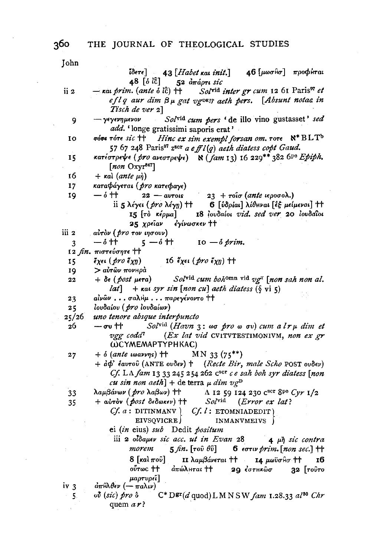John 46 [μωσθσ] προφύται  $^{7\!\!3\acute{e}r\epsilon}]=43\left[ Habet$  kai  $\,$ i $\,$ i $t.$ ]  $48$  [o  $i\overline{c}$ ]  $52\,$   $\overset{\text{\scriptsize{d}}}{\pi}$ ápri si $c$ Solvid inter gr cum 12 61 Paris<sup>97</sup> et — και *prim*. (ante δ l͡c) †† ii 2 eflq aur dim  $\beta \mu$  gat vg<sup>DE</sup>If aeth pers. [Absunt notae in Tisch de ver 2] - γεγενημενον Solvid cum pers 'de illo vino gustasset' sed 9 add. 'longe gratissimi saporis erat' 10 **πότε τότε sic tt** *Hinc ex sim exempl forsan om.*  $\tau$ ore  $N^*BLT^b$ 57 67 248 Paris<sup>97</sup> z<sup>scr</sup> a e ff  $l(q)$  aeth diatess copt Gaud. κατέστρεψε (pro ανεστρεψε)  $\aleph$  (fam 13) 16 229<sup>\*\*</sup> 382 6<sup>pe</sup> *Epiph*. 15  $[non \, Oxyr<sup>847</sup>]$ 16  $+$   $\kappa$ aì (ante  $\mu$ ή) 17 καταφάγεται (*pro κ*ατεφαγε) 23 + τοΐσ (ante ιεροσολ.) 19  $-$  ó tt  $22 - avros$ ii 5 λέγει (pro λέγη) + 6 [ύδρίαι] λίθηναι [εξ μείμεναι] ++ 15 [τὸ κέρμα] 18 lovdaiot vid. sed ver 20 lovdatot  $25 \; X$  $\rho$ είαν έγίνωσκεν †† iii 2 αὐτὸν ( pro τον ιησουν)  $\delta$  ተተ  $5 - 6$  tt  $10 - \delta$  prim.  $\overline{3}$ 12 fin. πιστεύσητε ++ 16 έχει (*pro* έχη) ++  $\tilde{\epsilon}_{X}\epsilon\iota$  (pro  $\tilde{\epsilon}_{X}\eta$ ) 15 19 > αὐτῶν πονнρὰ Solvid cum bohomn vid vg<sup>T</sup> [non sah non al. 22  $+ \delta \epsilon$  (post  $\mu \epsilon \tau a$ ) *lat*] +  $\kappa$ at syr sin [non cu] aeth diatess (§ vi 5) 23 αίνων... σαλΗμ... παρεγένοντο ++ ιουδαίου (*pro* ιουδαίων)  $25$  $25/26$ uno tenore absque interpuncto 26  $-\sigma$ υ †† Solvid (Havn  $3: \omega\sigma$  pro  $\omega$  ov) cum a  $l\tau\mu$  dim et vgg codd<sup>7</sup> (Ex lat vid CVITVTESTIMONIVM, non ex gr **WCYMEMAPTYPHKAC)**  $27$  $+ \delta$  (ante warrys)  $+$  $MN_{33}(75**)$ + αφ' έαυτού (ANTE oυδεν) + (Recte Bir, male Scho POST oυδεν) Cf. LA fam 13 33 245 254 262  $C<sup>scr</sup>$  c e sah boh syr diatess [non cu sin non aeth] + de terra  $\mu$  dim  $vg^D$ λαμβάνων (*pro* λαβων) ++  $\Lambda$  12 59 124 230 C<sup>scr</sup> 8<sup>pe</sup> Cyr 1/2 33 + αύτον (*post* δεδωκεν) ++  ${\cal S}ol^{\rm vid}$  $(Error \mathit{ex} lat)$ 35  $Cf. a: \text{DITINMANV.}$   $Cf. l: \text{ETOMNIADEDIT}$ EIVSQVICRE) INMANVMEIVS | ei (in eius) sub Dedit positum iii 2 oldauev sic acc. ut in Evan 28  $4 \mu h$  sic contra morem  $5$  fin.  $[\text{rot } \theta \hat{\text{v}}]$ 6  $_{\epsilon\sigma\tau\iota\nu}$  prim. [non sec.]  $\uparrow\uparrow$  $8\left[\kappa a\right]\pi$ οῦ $\left]$ **11** λαμβάνεται †† I4 μωϋσθσ ++ 16  $\omega \tau \omega c$  th άπώλнται †† 29 ἐστμκῶσ  $32$  [ $ro\hat{v}ro$ μαρτυρεί]  $d\pi$ Hλθεν (-  $\pi a\lambda \nu$ ) iv 3  $5.$  $\omega$ <sup>t</sup> (sic) pro  $\delta$  $C^*D^{gr}(d \text{ quod}) L M N S W$  fam 1.28.33 al<sup>30</sup> Chr quem  $a\,r$ ?

360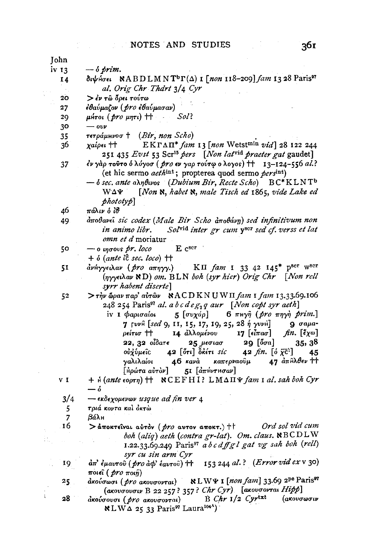John  $iv<sub>13</sub>$  $\delta$  prim. διψήσει NABDLMNT<sup>b</sup>Γ(Δ) I [non 118-209] fam 13 28 Paris<sup>97</sup> 14 al. Orig Chr Thdrt 3/4 Cyr  $20<sub>o</sub>$ > έν τω δρει τούτω εθαύμαζον (pro εθαύμασαν)  $27$  $\mu$ Hrot (pro  $\mu$ nri)  $\uparrow\uparrow$ Sol? 29  $\omega\nu$ 30  $\tau \epsilon \tau \rho \acute{a} \mu \mu \nu \sigma$  + (Bir, non Scho) 35 EKFAII\* fam 13 [non Wetstmin vid] 28 122 244 36 χαίρει †† 251 435 Evst 53 Scr<sup>15</sup> pers [Non lat<sup>vid</sup> praeter gat gaudet] έν γάρ τούτο ό λύγοσ ( pro εν γαρ τούτω ο λογος) ++ 13-124-556 al.? 37 (et hic sermo *aeth*<sup>int</sup>; propterea quod sermo *pers*<sup>int</sup>)  $-$  o sec. ante annous (Dubium Bir, Recte Scho) BC\*KLNTb [Non N, habet N, male Tisch ed 1865, vide Lake ed W∆¥  $phototy$ 46 πάλιν ό ίσθ αποθανεί sic codex (Male Bir Scho αποθάνη) sed infinitivum non 49 in animo libr. Solvid inter gr cum yser sed cf. verss et lat omn et d moriatur E cser 50  $\rightarrow$  0 ingovs pr. loco  $+$   $\delta$  (ante lct sec. loco)  $+$ ανήγγειλαν (pro απηγγ.) КП  $fam$  1 33 42 145\* р<sup>вет</sup> w<sup>вет</sup> 51 (nyyet Aav ND) om. BLN boh (syr hier) Orig Chr [Non rell syrr habent diserte]  $>$ τήν ώραν παρ' αὐτῶν  $NACDKNUWI$  fam 1 fam 13.33.69.106 52 248 254 Paris<sup>97</sup> al. a b c d e  $g_2$ q aur [Non copt syr aeth]  $6 \pi$ Hy $\hat{\eta}$  (pro  $\pi \eta \gamma \hat{\eta}$  prim.) iv 1 φαρισαίοι 5  $[\sigma v \chi \dot{\alpha} \rho]$ 7 [vvfi [sed 9, 11, 15, 17, 19, 25, 28 ή γυνH]  $9$   $\sigma$ auafin.  $[\tilde{\epsilon}\chi\omega]$ ρείτισ †† 14 άλλομένου 17 [εἶπασ] 22,  $32$   $0\hat{i}\delta a\tau\epsilon$ 25 μεσιασ  $29$  [ $\delta \sigma a$ ]  $35, 38$  $42$   $[5\pi]$   $8\kappa$ éti sic 42 fin.  $\left[\begin{smallmatrix} 6 & \overline{\chi} & c \end{smallmatrix}\right]$ οὐχὑμεῖς 45 46 kavà γαλιλαίοι καπερναοῦμ 47  $d\pi$  Αλθεν ττ | Ηρώτα αὐτὸν]  $5I$   $\left[$  $a\pi$ H $\nu\tau$ H $\sigma$ a $\nu$ ]  $V$  I + *A* (ante εορτη) + **NCEFHI**? LMΔΠΨ fam I al. sah boh Cyr  $-\delta$  $3/4$  $-$  εκδεχομενων usque ad fin ver 4 5 τριά κοντα και όκτω  $\overline{7}$  $\beta$ á $\lambda$ H 16 Ord sol vid cum  $>$ άποκτεΐναι αύτον (*pro* αυτον αποκτ.) ++ boh (aliq) aeth (contra gr-lat). Om. claus. NBCDLW 1.22.33.69.249 Paris<sup>97</sup> a b c dff g l gat vg sah boh (rell) syr cu sin arm Cyr απ' έμαυτού (pro αφ' έαυτού) + 153 244 al.? (Error vid ex v 30) 19 ποιεί (*pro* ποιή) NLWY 1 [non fam] 33.69 2Pe Paris<sup>97</sup>  $25$ άκούσωσι (*pro* ακουσονται) (ακουσουσιν Β 22 257? 357? Chr Cyr) [ακουσονται  $High$ ] 28  $B$  Chr  $1/2$  Cyrtxt ακούσουσι (pro aκουσονται) *(ακουσωσιν* 

 $\mathcal{R}$  LWA 25 33 Paris<sup>97</sup> Laura<sup>1044</sup>)

È.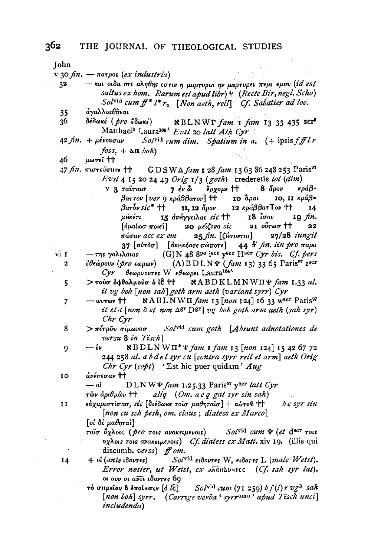Iohn

v 30  $fin. - \pi \infty$  (ex industria)

- και οιδα οτι αληθης εστιν η μαρτυρια ην μαρτυρει περι εμου (id est  $32$ saltus ex hom. Rarum est apud libr) + (Recte Bir, negl. Scho) Solvid cum f<sup>\*</sup>  $l^*$   $r_*$  [Non aeth, rell] Cf. Sabatier ad loc.
- άναλλιαθήναι 35
- δέδωκέ ( pro έδωκέ) 36  $R_{\text{BLNWT}}$  fam 1 fam 13 33 435 scr<sup>5</sup> Matthaei<sup>5</sup> Laura<sup>101</sup>A Evst 20 latt Ath Cyr
- $42 \text{ fin.} + \mu\acute{\text{ev}}$ ovorav Solvid cum dim. Spatium in a.  $( + \text{ipsis } ff l r)$  $foss + \Delta \mathbf{H}$  boh)
- 46 μωσεΐ ተተ

47 *fin.* πιστεύσητε ττ GDSWA fam 1 28 fam 13 63 86 248 253 Paris<sup>97</sup> Evst 4 15 20 24 49 Orig  $1/3$  (goth) crederetis tol (dim)

> V 3 ταυταισ  $7 \frac{1}{5}$   $\mu$   $\alpha$ έρχομε tt  $8 \text{ q}$ κράβ-10 άραι  $\beta$ arrov [ver 9 κράβ $\beta$ arov] †† 10. Η κράβ- $\beta$ ar $\overline{\delta}$ v sic\* †† 11, 12 άρον 12 κράββατ $T$ ον †† 14 15 ανήγγειλαι sic ++ μΗκέτι τ8 ίσον IQ fin. 21  $\sigma\sigma$  root  $\uparrow\uparrow$  $\lceil \delta \mu o \ell \omega \sigma \; \pi o \ell \epsilon \hat{\ell} \rceil$ 20 μεΐζονα sic 22 πάσαν acc ex em  $25 \text{ fin.}$  [(Hoovrai]  $27/28$  iungit  $44 \text{ ft}$  fin. lin pro  $\pi$ apa 37 [αὐτὸσ] [ἀκμκόατε πώποτε]

(G) N 48 8pe jscr yser Hscr Cyr bis. Cf. pers vi 1  $-$  της γαλιλαιας  $\epsilon \theta \epsilon \omega \rho \sigma \nu$  (*pro* εωρων)  $(A)$  BDLN $\Psi$  (fam 13) 33 65 Paris<sup>97</sup> z<sup>scr</sup>  $\overline{2}$ Cyr θεωρουντες W εθεωρει Laura<sup>104A</sup>

- > τούσ όφθαλμούσ ό ίε ++ NABDKLMNWIIP fam 1.33 al. 5 it vg boh [non sah] goth arm aeth (variant syrr) Cyr
- NABLNWII fam 13 [non 124] 16 33 wser Paris<sup>97</sup>  $\overline{7}$  $-\arctan t$ it et d [non  $\delta$  et non  $\Delta$ gr  $\Delta$ gr] vg boh goth arm aeth (sah syr) Chr Cyr
- Solvid cum goth [Absunt adnotationes de 8 > πέτρου σίμωνοσ versu 8 in Tisch
- $\{ABDLNWT^* \Psi \$ fam 1 fam 13 [non 124] 15 42 67 72  $\mathbf{Q}$  $-\ell\nu$ 244 258 al. a b d e l syr cu [contra syrr rell et arm] aeth Orig *Chr Cyr (copt)* 'Est hic puer quidam'  $Aug$

 $\frac{1}{2}u \in \pi$ eo av  $\uparrow \uparrow$ 10

14

 $-$  of  $D L N W \Psi$  fam 1.25.33 Paris<sup>97</sup> y<sup>ser</sup> latt Cyr

εύχαριστίσασ, sic [διέδωκε τοισ μαθηταίσ] + αύτου ++ be syr sin  $\mathbf{I}$ [non cu sch pesh, om. claus; diatess ex Marco]

[οι δε μαθηταί]

- τοΐσ δχλοις (*pro* τοις ανακειμενοις)  $Sol^{\text{vid}}$  cum  $\Psi$  (et d<sup>scr</sup> rois οχλοις τοις ανακειμενοις) Cf. diatess ex Matt. xiv 19. (illis qui discumb. verss) ff om.
- Solvid etdovres W, etdores L (male Wetst).  $+$  oi (ante ιδοντες) Error noster, ut Wetst, ex anoudontec (Cf. sah syr lat). οι ουν οι ανοι ιδοντες 69
- Solvid cum (71 259)  $bf(l)$ r vg<sup>n</sup> sah το σΗμείον δ έποίκσεν [ό ίξ] [non boh] syrr. (Corrige verba ' syrr<sup>omn</sup>' apud Tisch unci] includenda)

τῶν ἀριθμῶν †† aliq (Om. a e q gat syr sin sah)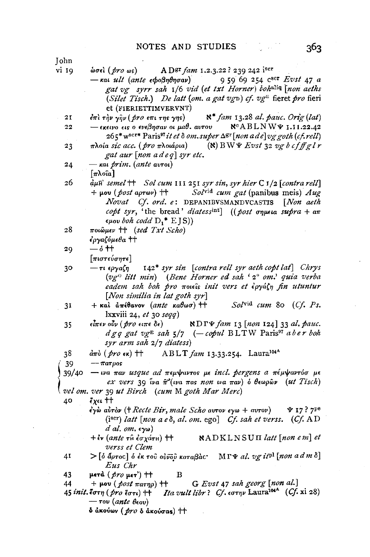**Iohn** vi 19

gat vg syrr sah 1/6 vid (et txt Horner) tohaliq (non aeths (Silet Tisch.) De latt (om. a gat  $v_{gD}$ ) cf.  $v_{g}$ <sup>E</sup> fieret pro fieri et (FIERIETTIMVERVNT)

- $\aleph^*$  fam 13.28 al. pauc. Orie (lat)  $21$  $\epsilon \pi i$  την γην ( pro επι της γης)
- $-\epsilon$ κεινό εις ο ενεβησαν οι μαθ. αυτου  $R^cABLNW\Psi$  1.11.22.42 22
- $265*$  w<sup>scr\*</sup> Paris<sup>97</sup> it et  $\delta$  om. super  $\Delta$ <sup>gr</sup> [non a de] vg goth (cf. rell) πλοία sic acc. (pro πλοιάρια)  $(N)$  BWY Evst 32 vg b cf ff gl r  $23$ gat aur  $[non \; add \; e q]$  syr etc.
- $24$  $\kappa$ ai *prim.* (ante avroi)

 $\lceil \pi \lambda$ oîa  $\rceil$ 

- 26  $d\mu$ <sup>T</sup> semel <sup>++</sup> Sol cum 111 251 syr sin, syr hier C 1/2 [contra rell]  $+$  μου (  $\text{post}$  αρτων)  $+$ Solvid cum gat (panibus meis) Aug Novat Cf. ord. e: DEPANIBVSMANDVCASTIS [Non aeth copt syr, 'the bread' diatessint]  $((\text{post or pure})$  $\epsilon \mu_{0}$  boh codd  $D^*$  E IS)
- 28 ποιώμεν ++ (sed Txt Scho) έργαζόμεθα ††
- $\delta$  tt 29
- $\lceil \pi$ ιστεύσητε $\rceil$
- 142\* syr sin [contra rell syr aeth copt lat] Chrys 30 — τι ερναζη (vg<sup>o</sup> litt min) (Bene Horner ed sah '2<sup>°</sup> om.' quia verba eadem sah boh pro moteis init vers et εργάζη fin utuntur [Non similia in lat goth syr]
- $+$  και απέθανον (ante καθωσ) ++ Solvid cum 80 (Cf. Ps.  $3I$ lxxviii 24,  $et$  30  $seqq$ )
- NDTY fam 13 [non 124] 33 al. pauc.  $\epsilon$ ίπεν οὖν (*pro* ειπε δε) 35  $d g g g at v g E$  sah  $5/7$  (-copul BLTW Paris<sup>97</sup> aber boh syr arm sah 2/7 diatess)

exes ++ 40

- $\epsilon$ γώ αύτον († Recte Bir, male Scho αυτον εγω + αυτον)  $\Psi$  17 ? 7<sup>pe</sup> (iscr) latt [non a e  $\delta$ , al. om. ego] Cf. sah et verss. (Cf. AD  $d$  al.  $om$ ,  $\epsilon y\omega$ )
- $+i$ v (ante rû έσχάτη) †† NADKLNSUII latt [non e m] et verss et Clem
- $>$ [δ άρτος] δ έκ του ουνου καταβάς MΓΨ al. vg it<sup>pl</sup> [non a d m δ] 41 Eus Chr

- *Ita vult libr?* Cf.  $\epsilon \sigma \tau \eta \nu$  Laura<sup>1044</sup> (Cf. xi 28) 45 *init*. <sup>*ζ</sup>*στη (*pro* <sup>*ζ*</sup>στι) ††</sup>  $\tau$ ov (ante  $\theta$ εου)
	- δ ἀκούων ( pro δ ἀκούσας) ††

A Dgr fam 1.2.3.22 ? 239 242 iscr  $\omega$ σεί (*pro* ως) 959 69 254 C<sup>scr</sup> Evst 47 a  $-\kappa a$ , ult (ante  $\epsilon$ bo $\theta$ n $\theta$ ngav)

<sup>38</sup>  $\partial \pi$  $\partial$  (  $\partial r$  $\partial \epsilon$   $\kappa$ )  $\uparrow$   $\uparrow$ ABLT  $fam$  13.33.254. Laura<sup>104A</sup>

 $-\pi a \tau a$ 39

<sup>39/40</sup>  $-$  wa παν usque ad πεμψαντος με incl. pergens a πέμψαντόσ με ex vers 39  $\tilde{u}$ va  $\tilde{\pi}^2$ (va  $\pi$ as non wa  $\pi a v$ ) o θεωρών (ut Tisch) vel om. ver 39 ut Birch (cum M goth Mar Merc)

<sup>43</sup> μετά ( $pr$ ο μετ') <sup>11</sup>  $\bf{B}$ 

<sup>44</sup>  $+ \mu$ ov (post  $\pi a \tau \eta \rho$ )  $+ +$ G Evst 47 sah georg [non al.]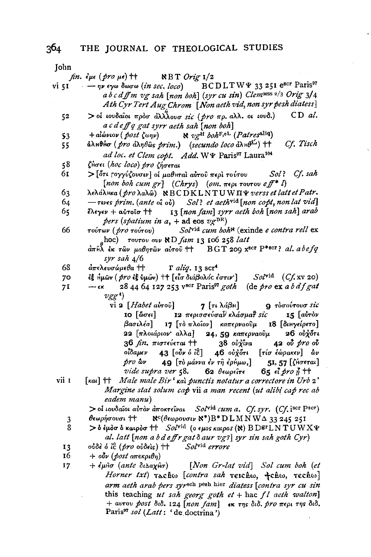**Lobn** 

| յսսս  |                                                                                                                                                                            |
|-------|----------------------------------------------------------------------------------------------------------------------------------------------------------------------------|
|       | fin. $\epsilon \mu \epsilon$ (pro $\mu \epsilon$ ) ++ NBT Orig 1/2                                                                                                         |
| vi 51 | $-$ ην εγω δωσω (in sec. loco) BCDLTW ¥ 33 251 e <sup>scr</sup> Paris <sup>97</sup>                                                                                        |
|       | abcdffm vg sah [non boh] (syr cu sin) Clemwss 2/3 Orig 3/4                                                                                                                 |
|       | Ath Cyr Tert Aug Chrom [Non aeth vid, non syr pesh diatess]                                                                                                                |
| 52    | $>$ οί ιουδαΐοι πρόσ άλλλουσ sic (pro πρ. αλλ. οι ιουδ.) CD al.                                                                                                            |
|       | a c d e ff q gat syrr aeth sah [non boh]                                                                                                                                   |
| 53    | + $\partial_t$ + $\partial_t$ ( <i>post</i> $\zeta \omega \eta \nu$ )<br>$\aleph$ $\upsilon g^H$ $\partial \partial_t F_i$ <sup>oL</sup> ( <i>Patres</i> <sup>aliq</sup> ) |
| 55    | άλμθήσ ( <i>pro άληθῶs prim.</i> ) (secundo loco άλμθ <sup>εί</sup> ) <sup>++</sup><br>Cf. Tisch                                                                           |
|       | ad loc. et Clem copt. Add. WY Paris <sup>97</sup> Laura <sup>104</sup>                                                                                                     |
| 58    | ζήσει (hoc loco) pro ζήσεται                                                                                                                                               |
| 61    | Sol? Cf. sah<br>> [ὅτι ϝογγύζουσιν] οἱ μαθнταὶ αὐτοῦ περὶ τούτου                                                                                                           |
|       | [non boh cum gr] $(Chrys)$ $(om. \pi \epsilon \rho \iota \text{ row of } f^*$ l]                                                                                           |
| 63    | λελάληκα (pro λαλώ) NBCDKLNTUWΠΨ verss et latt et Patr.                                                                                                                    |
| 64    | $-$ τινες prim. (ante oi oi) Sol? et aeth <sup>vid</sup> [non copt, non lat vid]                                                                                           |
| 65    | έλεγεν + αὐτοῖσ †† [13 $[non~{fam}]$ syrr aeth boh $[non~{sah}]$ arab                                                                                                      |
|       | pers (spatium in a, + ad eos $v g^{DR}$ )                                                                                                                                  |
| 66    | τούτων ( <i>pro</i> τούτου) Sol <sup>vid</sup> cum boh <sup>n</sup> (exinde e contra rell ex                                                                               |
|       | ahoc) $\tau$ ovrov ovv $\aleph$ D fam 13 106 258 latt                                                                                                                      |
|       | $d\pi$ Ĥλ έκ τῶν μαθητῶν αὐτοῦ ††   BGT 209 x <sup>8cr</sup> P*8cr? al. abefq                                                                                              |
|       | syr sah 4/6                                                                                                                                                                |
| 68    | $d\pi\epsilon$ λευσώμεθα †† Γ aliq. 13 scr <sup>4</sup>                                                                                                                    |
| 70    | εξ ήμων (pro εξ ύμων) + [είσ διάβολός έστιν ] Solvid (Cf. xv 20)                                                                                                           |
| 71    | $-\epsilon \kappa$ 28 44 64 127 253 v <sup>scr</sup> Paris <sup>97</sup> goth (de pro ex a b df gat                                                                        |
|       | $vgg^4$                                                                                                                                                                    |
|       | vi 2 $[Habet\,a\dot{v}$ ro $\hat{v}]$<br>7 [τι λάβΗ] 9 τοσούτουσ sic                                                                                                       |
|       | 10 [ὥσει] 12 περισσεύσα <sup>ϊ κ</sup> λάσμα <del>ΐ</del> sic 15 [αὐτὸν                                                                                                    |
|       | βασιλέα] 17 [τὸ πλοΐον] καπερναοῦμ 18 [διηγείρετο]                                                                                                                         |
|       | 22 [πλοιάριον αλλα] 24, 59 καπερναούμ 26 ούχδτι                                                                                                                            |
|       | 36 <i>fin</i> . πιστεύεται ††<br>38 οὐχἶνα <b>42 οὖ</b> pro οὖ                                                                                                             |
|       | $\overline{\phantom{a}}$ οΐδαμεν 43 [οὖν ὁ ΐξ] 46 οὐχδτι [τίσ έώρακεν] δυ                                                                                                  |
|       |                                                                                                                                                                            |
|       | pro δυ <b>49</b> [τὸ μάννα ἐν τῆ ἐρήμω,] 51, 57 [ζήσεται]<br>vide supra ver 58. 62 θεωρεῖτε 65 εἶ pro ἦ ††                                                                 |
| vii 1 | [kai] ++ Male male Bir' kai punctis notatur a correctore in Urb 2'                                                                                                         |
|       | Margine stat solum cap vii a man recent (ut alibi cap rec ab                                                                                                               |
|       | eadem manu)                                                                                                                                                                |
|       | > οι ιουδαίοι αυτόν αποκτείναι Solvid cum a. Cf. syr. (Cf. iser Pser)                                                                                                      |
| 3     | θεωρήσουσι ++ $\aleph^c(\theta \epsilon \omega \rho \text{ over } \aleph^*) B^* D L M N W \triangle 33 245 251$                                                            |
| 8     | > δ έμδσ δ καιρδσ ++ Solvid (ο εμος καιρος (N) Β D STL N TU W X Ψ                                                                                                          |
|       | al. latt [non a b d e ff r gat $\delta$ aur vg r] syr sin sah goth Cyr)                                                                                                    |
| 13    | oύδε δ ίδ (pro oύδεις) ++ Solvid errore                                                                                                                                    |
| 16    | $+$ obv (post aπεκριθη)                                                                                                                                                    |
| 17    | + $\epsilon \mu \hat{n} \sigma$ (ante $\delta \iota \Delta \alpha \chi \hat{n} \sigma$ ) [Non Gr-lat vid] Sol cum boh (et                                                  |
|       | Horner txt) Tachw [contra sah Teichw, +chw, Techw]                                                                                                                         |
|       | arm aeth arab pers syrsch pesh hier diatess [contra syr cu sin                                                                                                             |
|       | this teaching ut sah georg goth et + hac $fl$ aeth walton]                                                                                                                 |
|       | + αυτου post διδ. 124 [non fam] εκ της διδ. pro περι της διδ.                                                                                                              |
|       | Paris <sup>97</sup> sol (Latt: 'de doctrina')                                                                                                                              |
|       |                                                                                                                                                                            |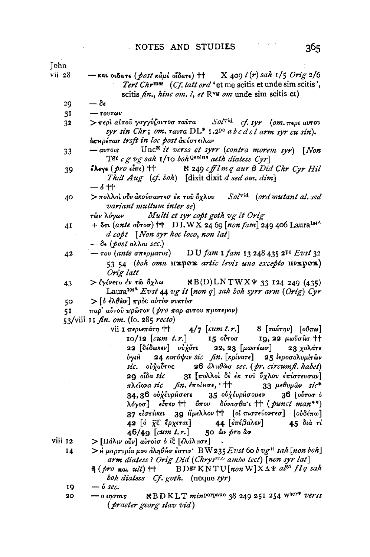| John           |                                                                                                      |
|----------------|------------------------------------------------------------------------------------------------------|
| vii 28         | - και οιδατε (post κάμε οΐδατε) ++ X 409 $l(r)$ sah 1/5 Orig 2/6                                     |
|                | Tert Chr <sup>mss</sup> (Cf. latt ord 'et me scitis et unde sim scitis',                             |
|                | scitis fin., hinc om. l, et RV8 om unde sim scitis et)                                               |
| 29             | $-\delta\epsilon$                                                                                    |
| 3 <sup>T</sup> | $ \tau$ ov $\tau$ ων                                                                                 |
| 3 <sup>2</sup> | > περί αύτου γογγύζοντοσ ταυτα Sol <sup>vid</sup> cf. syr (om. περι αυτου                            |
|                | syr sin Chr; om. $\tau$ av $\tau$ a DL* 1.2 <sup>pe</sup> a b c d e l arm syr cu sin).               |
|                | υπηρέτασ trsft in loc post απέστειλαν                                                                |
| 33             | $-\omega\tau\omega s$ Unc <sup>20</sup> it verss et syrr (contra morem syr) [Non                     |
|                | TET c g vg sah 1/10 boh Qsolus aeth diatess Cyr]                                                     |
| 39             | έλεγε ( <i>pro</i> είπε) ++ $\aleph$ 249 cfflm q aur $\beta$ Did Chr Cyr Hil                         |
|                | That Aug (cf. boh) [dixit dixit d sed om. dim]                                                       |
|                | 一6十                                                                                                  |
| 40             | $>$ πολλοί ούν ακούσαντεσ έκ του όχλου Sol <sup>vid</sup> (ord mutant al. sed                        |
|                | variant multum inter se)                                                                             |
|                | των λόγων Multi et syr copt goth vg it Orig                                                          |
| 41             | + δτι (ante ούτοσ) + DLWX 24 69 [non fam] 249 406 Laura <sup>104<sup>Λ</sup></sup>                   |
|                | d copt [Non syr hoc loco, non lat]                                                                   |
|                | $-\delta$ ε (post αλλοι sec.)                                                                        |
| 42             | $-$ του (ante σπερματος) DU fam 1 fam 13 248 435 2 <sup>pe</sup> Evst 32                             |
|                | 53 54 (boh omn nxpox artic levis uno excepto nixpox)                                                 |
|                | Orig latt                                                                                            |
| 43             | $>$ έγένετο έν τῶ ὅχλω $NB(D)LNTWX\Psi$ 33 124 249 (435)                                             |
|                | Laura <sup>104A</sup> Evst 44 vg it [non q] sah boh syrr arm (Orig) Cyr                              |
| 50             | > [ δ έλθων] πρός αύτον νυκτόσ<br>παρ' αύτου πρώτον ( <i>pro παρ αυτου προτερον</i> )                |
| 51             | 53/viii 11 fin. om. (fo. 285 recto)                                                                  |
|                | vii I $\pi$ eptenárn † $4/7$ [cum t.r.] 8 [ravrny] [ov $\pi\omega$ ]                                 |
|                | 10/12 [cum t.r.] 15 ούτοσ 19, 22 μωϋσησ ++                                                           |
|                |                                                                                                      |
|                | 22 [δέδωκεν] ούχὄτι 22, 23 [μωσέωσ] 23 χολάτε<br>ύγιλ 24 κατόψιν sic fin. [κρίνατε] 25 ξεροσολυμίτῶν |
|                | sic. ούχούτος 26 άλμθώσ sec. (pr. circumfl. habet)                                                   |
|                | 29 οΐδα sic 31 [πολλοί δε έκ του όχλου επίστευσαν]                                                   |
|                | πλείονα sic fin. εποίησε, $+$ + 33 μεθυμών sic*                                                      |
|                | 34,36 ούχέυρΗσετε 35 ούχέυρΗσομεν 36 [ούτοσ ό                                                        |
|                | $\lambda$ όγοσ] είπεν †† όπου δύνασθα'ι †† (punct man**)                                             |
|                | 37 είστήκει 39 Ημελλον <sup>++</sup> [οί πιστεύοντεσ] [ούδέπω]                                       |
|                |                                                                                                      |
|                | 42 [δ $\bar{\chi}$ c <sup>2</sup> ξρχεται] 44 [επέβαλεν] 45 διὰ τί<br>46/49 [cum t.r.] 50 δυ pro δυ  |
| viii 12        | $\sum$ [Πάλιν ούν] αυτοίσ ο ίξ [ελάλμσε]<br>$\bar{\star}$                                            |
| 14             | $>$ Η μαρτυρία μου άληθήσ έστιν' BW 235 Evst 60 b vg <sup>H</sup> sah [non boh]                      |
|                | arm diatess? Orig Did (Chrys <sup>MSS</sup> ambo lect) [non syr lat]                                 |
|                | $\hat{\eta}$ (pro not ult) $\dagger$ BDST KNTU[non W]X $\Lambda \Psi$ also flq sah                   |
|                | boh diatess Cf. goth. (neque syr)                                                                    |

- $\delta$  sec. 19
- $-$  ο ιησους NBDKLT min<sup>perpauc</sup> 38 249 251 254 w<sup>ser\*</sup> verss  $20<sub>o</sub>$ (praeter georg slav vid)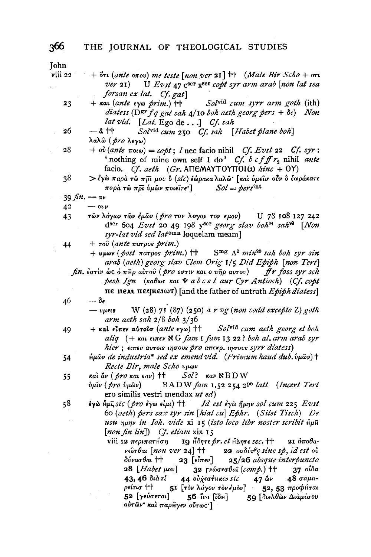| John    |                                                                                                                             |
|---------|-----------------------------------------------------------------------------------------------------------------------------|
| viii 22 | $+$ $\delta$ τι (ante οπου) me teste [non ver 21] $\ddagger$ (Male Bir Scho + οτι                                           |
|         | U Evst 47 c <sup>scr</sup> x <sup>scr</sup> copt syr arm arab [non lat sea<br>$ver$ 21)                                     |
|         | forsan ex lat. Cf. gat]                                                                                                     |
| 23      | $+$ kai (ante $\epsilon \gamma \omega$ prim.) $+$<br>Solvid cum syrr arm goth (ith)                                         |
|         | diatess ( $\mathbf{D}^{\text{gr}} f q$ gat sah 4/10 boh aeth georg pers + $\delta \epsilon$ ) Non                           |
|         | lat vid. [Lat. Ego de] Cf. sah                                                                                              |
| 26      | — å ተተ<br>Solvid cum 250 Cf. sah [Habet plane boh]                                                                          |
|         | λαλῶ ( pro λεγω)                                                                                                            |
| 28      | + $\partial$ (ante $\pi \partial$ i) = copt; l nec facio nihil Cf. Evst 22 Cf. syr:                                         |
|         | 'nothing of mine own self I do' Cf. b cfff r <sub>2</sub> nihil ante                                                        |
|         | facio. Cf. aeth (Gr. AITEMAYTOYITOI $\omega$ hinc + OY)                                                                     |
| 38      | > έγὼ παρὰ τῶ πρτ μου ὃ (sic) έώρακα λαλῶ· [καὶ ὑμεῖσ οὖν ὃ ἐωράκατε                                                        |
|         | $Sol = persint$<br>παρὰ τῶ πρι ὑμῶν ποιείτε ]                                                                               |
|         | 39 fin. $-a\nu$                                                                                                             |
| 42      | $ \omega$ y                                                                                                                 |
| 43      | τών λόγων τών έμών (pro τον λογον τον εμον) U 78 108 127 242                                                                |
|         | dscr 604 Evst 20 49 198 yser georg slav boh <sup>M</sup> sah <sup>99</sup> [Non                                             |
|         | syr-lat vid sed latomn loquelam meam]                                                                                       |
| 44      | $+ \tau$ oύ (ante πατρος prim.)                                                                                             |
|         | + vµwv (post $\pi a \tau \rho o s$ prim.) ++ S <sup>mg</sup> $\Lambda^2$ min <sup>20</sup> sah boh syr sin                  |
|         | arab (aeth) georg slav Clem Orig 1/5 Did Epiph [non Tert]                                                                   |
|         | fin. έστιν ώς ό πηρ αύτου (pro εστιν και ο πηρ αυτου) fr foss syr sch                                                       |
|         | pesh Ign (Kabos Kat & a b c e l aur Cyr Antioch) (Cf. copt                                                                  |
|         | πε <b>πελλ</b> πεσκειωτ) [and the father of untruth $Epih$ diatess]                                                         |
| 46      | $-\delta_{\epsilon}$                                                                                                        |
|         | W (28) 71 (87) (250) a r vg (non codd excepto Z) goth<br>$ v\mu$ ets                                                        |
|         | arm aeth sah $2/8$ boh $3/36$                                                                                               |
| 49      | + και είπεν αυτοίο (ante εγω) ++ Solvid cum aeth georg et boh                                                               |
|         | aliq (+ Kat Ethev N G fam I fam I 3 22 ? boh al. arm arab syr                                                               |
|         | hier; ειπεν αυτοις ιησους pro απεκρ. ιησους syrr diatess)<br>hμων de industria* sed ex emend vid. (Primum haud dub. ύμων) + |
| 54      | Recte Bir, male Scho vuov                                                                                                   |
|         | και άν (pro και εαν) + $Sol$ ? καν ΝΒDW                                                                                     |
| 55      | <i>ύμιν</i> (pro ύμων) BADW fam 1.52 254 2 <sup>pe</sup> latt (Incert Tert                                                  |
|         | ero similis vestri mendax ut ed)                                                                                            |
| 58      | εγώ Ημιτισία (pro έγω είμι) ++ Id est έγω ήμην sol cum 225 Evst                                                             |
|         | 60 (aeth) pers sax syr sin [hiat cu] Ephr. (Silet Tisch) De                                                                 |
|         | usu nunv in Ioh. vide xi 15 (isto loco libr noster scribit $\check{\mathfrak{n}}$ µ $\check{\mathfrak{n}}$                  |
|         | $[non fin lin])$ Cf. etiam xix 15                                                                                           |
|         | 19 Honre pr. et Hanre sec. ++<br>viii 12 περιπατήση<br>$2I$ $a\pi$ $a\theta$ $a$ -                                          |
|         | $\nu \in \mathfrak{so}$ θαι [non ver 24] $\uparrow \uparrow$ 22 ουδύνθι sine sp, id est ov                                  |
|         | 23 $[\epsilon \bar{i} \pi \epsilon \nu]$ 25/26 absque interpuncto<br>δύνασθαι ††                                            |
|         | 28 [Habet μου] 32 γνώσεσθαϊ (comp.) ++ 37 οΐδα                                                                              |
|         | 43, 46 διà τί<br>$48 \sigma$ a $\mu$ a-                                                                                     |
|         | 51 [τὸν λόγον τὸν ἐμὸν] 52, 53 προφήται<br>ρείτισ ††                                                                        |
|         | 52 [γεύσεται] 56 ΐνα [ΐδн] 59 [διελθὼν Διὰμέσου                                                                             |
|         | αὐτῶν' καὶ παρĤγεν οὖτως']                                                                                                  |
|         |                                                                                                                             |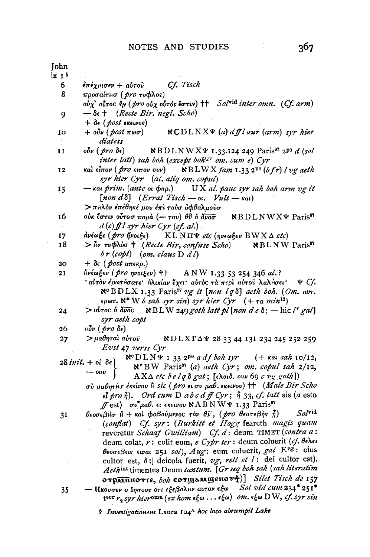367

| John   |                                                                                                                                                                                                                                                                                                                                                                                                                                                                                                     |
|--------|-----------------------------------------------------------------------------------------------------------------------------------------------------------------------------------------------------------------------------------------------------------------------------------------------------------------------------------------------------------------------------------------------------------------------------------------------------------------------------------------------------|
| ix 1 % |                                                                                                                                                                                                                                                                                                                                                                                                                                                                                                     |
| 6      | Cf. Tisch<br>έπέχρισεν + αὐτοῦ                                                                                                                                                                                                                                                                                                                                                                                                                                                                      |
| 8      | προσαίτησ (pro τυφλος)                                                                                                                                                                                                                                                                                                                                                                                                                                                                              |
|        | ούχ' ούτος ήν (pro ούχ ούτός έστιν) ++ Solvid inter omn. (Cf. arm)                                                                                                                                                                                                                                                                                                                                                                                                                                  |
| 9      | $-\delta$ <sub>6</sub> † (Recte Bir. negl. Scho)                                                                                                                                                                                                                                                                                                                                                                                                                                                    |
|        | $+ \delta \epsilon$ (post exervos)                                                                                                                                                                                                                                                                                                                                                                                                                                                                  |
|        | $+$ ov $\nu$ (post $\pi \omega \sigma$ )<br>$\mathcal{R} \text{CDLNX}\Psi$ (a) dffl aur (arm) syr hier                                                                                                                                                                                                                                                                                                                                                                                              |
| 10     | diatess                                                                                                                                                                                                                                                                                                                                                                                                                                                                                             |
|        |                                                                                                                                                                                                                                                                                                                                                                                                                                                                                                     |
| 11     | NBDLNWX¥ 1.33.124 249 Paris <sup>97</sup> 2 <sup>pe</sup> d (sol<br>oὖν ( <i>pro</i> δε)                                                                                                                                                                                                                                                                                                                                                                                                            |
|        | inter latt) sah boh (except boh <sup>QV</sup> om. cum e) Cyr                                                                                                                                                                                                                                                                                                                                                                                                                                        |
| 12     | $NBLWX$ fam 1.33 2 <sup>pe</sup> (b fr) l vg aeth<br>καὶ εἶπον ( pro ειπον ουν)                                                                                                                                                                                                                                                                                                                                                                                                                     |
|        | syr hier Cyr (al. aliq om. copul)                                                                                                                                                                                                                                                                                                                                                                                                                                                                   |
| 15     | $-$ kai prim. (ante oi $\phi$ ap.)<br>UX al. pauc syr sah boh arm vg it                                                                                                                                                                                                                                                                                                                                                                                                                             |
|        | [non d $\delta$ ] (Errat Tisch - ot. Vult - $\kappa$ at)                                                                                                                                                                                                                                                                                                                                                                                                                                            |
|        | > πΗλον έπέθηκέ μου έπι τουσ οφθαλμούσ                                                                                                                                                                                                                                                                                                                                                                                                                                                              |
|        |                                                                                                                                                                                                                                                                                                                                                                                                                                                                                                     |
| τ6     | ούκ έστιν ούτοσ παρά $(-\tau o\nu)$ θΰ ό άνοσ $NBDLNWX\Psi$ Paris <sup>97</sup>                                                                                                                                                                                                                                                                                                                                                                                                                     |
|        | $d(e)$ ff l syr hier Cyr (cf. al.)                                                                                                                                                                                                                                                                                                                                                                                                                                                                  |
| 17     | $d$ νέωξε (pro ήνοιξε) ΚLNΠ $\Psi$ etc (ηνεωξεν BWX Δ etc)                                                                                                                                                                                                                                                                                                                                                                                                                                          |
| 18     | $>$ $\mathbf{h}$ ν τυφλόσ † (Recte Bir, confuse Scho) NBLNW Paris <sup>97</sup>                                                                                                                                                                                                                                                                                                                                                                                                                     |
|        | $b r (copt)$ (om. claus D d l)                                                                                                                                                                                                                                                                                                                                                                                                                                                                      |
| 20     | + δε (post απεκρ.)                                                                                                                                                                                                                                                                                                                                                                                                                                                                                  |
| 21     | $\hat{h}$ νέωξεν ( <i>pro ηνοιξεν</i> ) ++ ANW 1.33 53 254 346 al.?                                                                                                                                                                                                                                                                                                                                                                                                                                 |
|        | ' αὐτὸν ἐρωτήσατε' ἠλικίαν ἔχει' αὐτὸς τὰ περὶ αὐτοῦ λαλήσει'<br>4 Cf.                                                                                                                                                                                                                                                                                                                                                                                                                              |
|        | $\aleph^c$ BDLX 1.33 Paris <sup>97</sup> vg it [non lq $\delta$ ] aeth boh. (Om. avr.                                                                                                                                                                                                                                                                                                                                                                                                               |
|        | ερωτ. $\aleph^*$ W b sah syr sin) syr hier Cyr $(+ \tau a \ min^{12})$                                                                                                                                                                                                                                                                                                                                                                                                                              |
|        |                                                                                                                                                                                                                                                                                                                                                                                                                                                                                                     |
| 24     | > $\delta$ $\delta$ $\overline{\delta}$ $\overline{\delta}$ $\overline{\delta}$ $\overline{\delta}$ $\overline{\delta}$ $\overline{\delta}$ $\overline{\delta}$ $\overline{\delta}$ $\overline{\delta}$ $\overline{\delta}$ $\overline{\delta}$ $\overline{\delta}$ $\overline{\delta}$ $\overline{\delta}$ $\overline{\delta}$ $\overline{\delta}$ $\overline{\delta}$ $\overline{\delta}$ $\overline{\delta}$ $\overline{\delta}$ $\overline{\delta}$ $\overline{\delta}$ $\overline{\delta}$ $\$ |
|        | syr aeth copt                                                                                                                                                                                                                                                                                                                                                                                                                                                                                       |
| 26     | $_0$ <i>v</i> (pro $\delta$ e)                                                                                                                                                                                                                                                                                                                                                                                                                                                                      |
| 27     | >μαθηταὶ αὐτοῦ<br>NDLX $\Gamma\Delta\Psi$ 28 33 44 131 234 245 252 259                                                                                                                                                                                                                                                                                                                                                                                                                              |
|        | Evst 47 verss Cyr                                                                                                                                                                                                                                                                                                                                                                                                                                                                                   |
|        | $\aleph^c D L N \Psi$ I 33 2 <sup>pe</sup> a df boh syr (+ kai sah 10/12,                                                                                                                                                                                                                                                                                                                                                                                                                           |
|        | $28\,init. +$ of $\delta\epsilon$ )<br>N*BW Paris <sup>97</sup> (a) aeth Cyr; om. copul sah 2/12,                                                                                                                                                                                                                                                                                                                                                                                                   |
|        | $ \omega\nu$<br>$AX Δ$ etc be lq $δ$ gat; [ελοιδ. ovv 69 c vg goth])                                                                                                                                                                                                                                                                                                                                                                                                                                |
|        | σύ μαθητήσ έκείνου η sic (pro ει συ μαθ. εκεινου) ++ (Male Bir Scho                                                                                                                                                                                                                                                                                                                                                                                                                                 |
|        |                                                                                                                                                                                                                                                                                                                                                                                                                                                                                                     |
|        | $\epsilon$ <i>i</i> pro $\eta$ ). Ord cum D ab c d ff Cyr; $\eta$ 33, cf. latt sis (a esto                                                                                                                                                                                                                                                                                                                                                                                                          |
|        | $f$ est) $\sigma v^2 \mu a \theta$ . $\epsilon \iota \epsilon \kappa \epsilon \iota \nu o \nu \times A \sin W \Psi$ 1.33 Paris <sup>97</sup>                                                                                                                                                                                                                                                                                                                                                        |
| 31     | $Sol^{\text{vid}}$<br>θεοσεβήσ Η + και φοβούμενος τον θν, (pro θεοσεβής ή)                                                                                                                                                                                                                                                                                                                                                                                                                          |
|        | (conflat) Cf. syr: (Burkitt et Hogg feareth magis quam                                                                                                                                                                                                                                                                                                                                                                                                                                              |
|        | reveretur Schaaf Gwilliam) Cf. d: deum TIMET (contra a:                                                                                                                                                                                                                                                                                                                                                                                                                                             |
|        | deum colat, r: colit eum, e Cypr ter : deum coluerit (cf. θελει                                                                                                                                                                                                                                                                                                                                                                                                                                     |
|        | θεοσεβεις ειναι 251 sol), Aug: eum coluerit, gat Evg: eius                                                                                                                                                                                                                                                                                                                                                                                                                                          |
|        | cultor est, 8: deicola fuerit, vg, rell et l: dei cultor est).                                                                                                                                                                                                                                                                                                                                                                                                                                      |
|        | Aethint timentes Deum tantum. [Gr seq boh sah (sah literatim                                                                                                                                                                                                                                                                                                                                                                                                                                        |
|        |                                                                                                                                                                                                                                                                                                                                                                                                                                                                                                     |
|        | отр $\overline{\mathbf{u}}$ ппотте, boh еотщамщепот $\{\}$ ] Silet Tisch de 157                                                                                                                                                                                                                                                                                                                                                                                                                     |
| 35     | — Ηκουσεν ο Ιησους οτι εξεβαλον αυτον εξω Sol vid cum 234* 251*                                                                                                                                                                                                                                                                                                                                                                                                                                     |
|        | $t^{scr}$ r <sub>2</sub> syr hieromn (ex hom $\epsilon\xi\omega$ $\epsilon\xi\omega$ ) om. $\epsilon\xi\omega$ DW, cf. syr sin                                                                                                                                                                                                                                                                                                                                                                      |
|        |                                                                                                                                                                                                                                                                                                                                                                                                                                                                                                     |

8 Investigationem Laura 104<sup>A</sup> hoc loco abrumpit Lake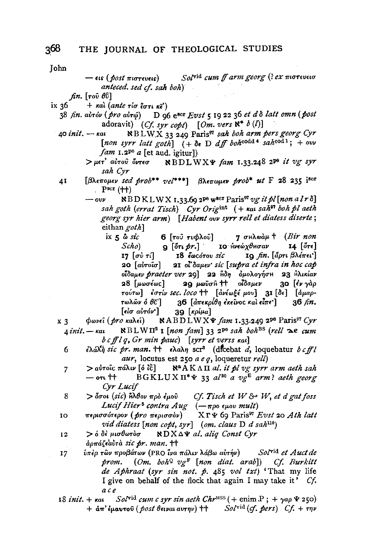- Solvid cum ff arm georg (? ex πιστευεισ — εις ( *post πιστε*υεις) anteced. sed cf. sah boh)
- $fin.$  [ $\tau$ ov̂  $\theta\hat{\mathrm{v}}$ ]
- ix 36  $+$  και (ante τίσ έστι κε')
	- 38 fin. aὐτόν (pro aὐτώ) D 96 e<sup>scr</sup> Evst 5 19 22 36 et d δ latt omn (post adoravit) (Cf. syr copt)  $[Om. vers \aleph^* b(l)]$
	- NBLWX 33 249 Paris<sup>91</sup> sah boh arm pers georg Cyr 40 init. — kal [non syrr latt goth]  $(+ \delta e \text{ D } df$  bohcodd \* sahcod 1; + ovv  $fam$  1.2<sup>pe</sup> a [et aud. igitur])
		- $>$ μετ' αύτου Όντεσ  $\quad$  Ν ΒDLWXΨ fam 1.33.248 2<sup>pe</sup> it vg syr sah Cyr
	- [ $\beta\lambda$ *ewousv sed prob*\*\*  $ve^{***}$ ]  $\beta\lambda$ *ewousv prob\* ut* F 28 235 iscr 41  $P<sub>scr</sub>(++)$ 
		- NBDKLWX 1.33.69 2<sup>pe</sup> w<sup>8cr</sup> Paris<sup>97</sup> vg it pl [non a lr  $\delta$ ]  $\omega \nu$ sah goth (errat Tisch) Cyr Origint (+ kai sah<sup>97</sup> boh pl aeth georg syr hier arm) [Habent ovv syrr rell et diatess diserte; eithan goth]
			- 7 σHλωάμ + (Bir non ix  $5 \delta$  sic 6 [του τυφλού]  $Scho$  $\mathbf{q}$  [ότι pr.] ΙΟ Ηνεώχθησαν  $14$  [ $5\pi$ ] I7  $\lceil \sigma v \rceil$  τί $\lceil$ 18 έως ότου sic 19 fin. [άρτι βλέπει'] 20 [αὐτοῖσ] 21 ol'Sauev sic [supra et infra in hoc cap οίδαμεν praeter ver 29] 22 μδη όμολογήση 23 Ηλικίαν οίδαμεν 30 [έν γάρ 28 [μωσέως] 2g *μ*ωΰσĤ 十 τούτω] εστίν sec. loco ++ [ανέωξε μου] 31 [δε] [άμαρτωλῶν ὁ θ៊ ] 36  $\lceil$  απεκρίθη έκεινος και είπε  $\rceil$  $36 \; \text{fm}$ . [εἰσ αὐτόν]  $39$  [ $\kappa \rho/\mu a$ ]
	- φωνεῖ (*pro κ*αλεῖ) NABDLWX $\Psi$  fam 1.33.249 2<sup>pe</sup> Paris<sup>97</sup> Cyr  $x<sub>3</sub>$  $\Delta$  init.  $\kappa$ at  $R_{\text{BLW}}$   $\Pi^2$  I [non fam] 33 2<sup>pe</sup> sah boh<sup>BS</sup> (rell  $\infty$ e cum  $b c ff l q$ , Gr min pauc) [syrr et verss kal]
		- έλάλη sic pr. man. ++ ελαλη scr<sup>3</sup> (dicebat a, loquebatur bcfll 6  $\textit{aur}, \text{ locutus}$  est 250  $\textit{ae} \, q$ , loqueretur  $\textit{rell}$ )
		- $\mathbb{R}^n A K \wedge \overline{\Pi}$  al. it pl vg syrr arm aeth sah > αὐτοῖς πάλιν [ὁ ἶĉ] 7 BGKLUX  $\Pi^* \Psi$  33 al<sup>30</sup> a  $v \rho^E$  arm? aeth georg  $-$  on  $^{\dagger\dagger}$ Cyr Lucif
		- $>$  δσοι (sic) ήλθον πρό έμου Cf. Tisch et W & W, et d gat foss 8 Lucif Hier<sup>6</sup> contra  $Aug$  ( $-\pi$ po  $\epsilon \mu$ ov mult)
	- περισσότερον (*pro π*ερισσὸν)  $X \Gamma \Psi$  69 Paris<sup>97</sup> Evst 20 Ath latt IO vid diatess  $[non \; cobt, syr]$  (om. claus D d sah<sup>110</sup>)
	- NDX∆¥ al. aliq Const Cyr > ό δὲ μισθωτὸσ  $12$ aρπάζεαυτα sic pr. man. ++
	- ύπερ των προβάτων (PRO ίνα πάλιν λάβω αύτήν) Sol<sup>vid</sup> et Auct de  $17$ prom. (Om. boh<sup>Q</sup> vg<sup>F</sup> [non diat. arab]) Cf. Burkitt de Aphraat (syr sin not. p. 485 vol txt) 'That my life I give on behalf of the flock that again I may take it' Cf. a c e
	- $Sol^{\text{vid}}$  cum c syr sin aeth  $Chr^{\text{MSS}}$  ( + enim P; +  $\gamma$ ap  $\Psi$  250) 18 *init*. + kat  $+$   $\dot{a}\pi$ 'εμαυτού (post θειναι αυτην)  $\ddot{r}$   $\ddot{r}$  Solvid (cf. pers)  $Cf$ . + την

368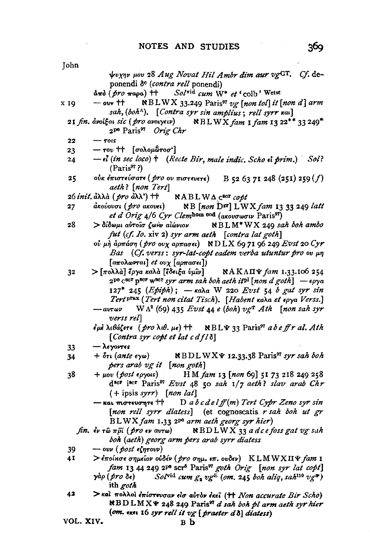| John |                                                                                                                                        |
|------|----------------------------------------------------------------------------------------------------------------------------------------|
|      | ψυχην μου 28 Aug Novat Hil Ambr dim aur vgGT. Cf. de-                                                                                  |
|      | ponendi d <sup>e</sup> (contra rell ponendi)                                                                                           |
|      | άπό (pro παρα) ++ Solvid cum W* et 'colb' Wetst                                                                                        |
| x 19 | - ouv $\uparrow\uparrow$ NBLWX 33.249 Paris <sup>97</sup> vg [non tol] it [non d] arm                                                  |
|      | sah, (boh <sup>A</sup> ). [Contra syr sin amplius; rell syrr Ral]                                                                      |
|      | 21 fin. avoigat sic (pro avoiyetv) NBLWX fam I fam I 3 22** 33 249*<br>2 <sup>pe</sup> Paris <sup>97</sup> Orig Chr                    |
| 22   | $ \tau$ ots                                                                                                                            |
| 23   | - του †† [σολομὣτοσ']                                                                                                                  |
| 24   | - el (in sec loco) + (Recte Bir, male indic. Scho el prim.) Sol?<br>(Paris <sup>97</sup> ?)                                            |
| 25   | οὐκ ἐπιστεύσατε ( pro ov πιστευετε)<br>B 52 63 71 248 (251) 259 $(f)$                                                                  |
|      | aeth? [non Tert]                                                                                                                       |
|      | 26 init. ἀλλὰ (pro ἀλλ') + NABLWΔ c <sup>80r</sup> copt                                                                                |
| 27   | άκούουσι ( <i>pro</i> ακουει)<br>NB [non Dsr] LWX fam 13 33 249 latt<br>et d'Orig 4/6 Cyr Clembom cod (aκουσωσιν Paris <sup>97</sup> ) |
| 28   | > δίδωμι αύτοῖσ ζωήν αίώνιον NBLM*WX 249 sah boh ambo                                                                                  |
|      | fut (cf. Io. xiv 2) syr arm aeth [contra lat goth]                                                                                     |
|      | ού μή άρπάση (pro ουχ αρπασει) NDLX 69 71 96 249 Evst 20 Cyr                                                                           |
|      | Bas (Cf. verss: syr-lat-copt eadem verba utuntur pro ov µn                                                                             |
|      | $[a\pi o\lambda o\nu\tau a\iota]$ et ov $\chi$ $[a\rho\pi a\sigma\epsilon\iota]$ )                                                     |
| 32   | > [πολλὰ] ἔργα καλὰ [ἔδειξα ὑμῖν]<br><b>NAKAII</b> & fam 1.33.106 254                                                                  |
|      | $2^{pe}$ C <sup>SCT</sup> p <sup>SCT</sup> w <sup>SCT</sup> syr arm sah boh aeth it <sup>pl</sup> [non d goth] - $\epsilon$ oya        |
|      | 127* 245 (Epiph); - Kala W 220 Evst 54 b gat syr sin                                                                                   |
|      | Tert PTax (Tert non citat Tisch). [Habent kala et epya Verss.]                                                                         |
|      | $W \Lambda^2$ (69) 435 Evst 44 e (boh) vg <sup>T</sup> Ath [non sah syr<br>$\rightarrow a v \tau \omega \nu$                           |
|      | verss rel                                                                                                                              |
|      | έμε λιθάζετε (pro λιθ. με) ++ NBL γ 33 Paris <sup>97</sup> abe ff r al. Ath                                                            |
|      | [Contra syr copt et lat c d fl $\delta$ ]                                                                                              |
| 33   | - λεγοντες<br>$+ \delta$ τι (ante εγω)<br>$\angle BDLWX\Psi$ 12.33.38 Paris <sup>97</sup> syr sah boh                                  |
| 34   | pers arab vg it [non goth]                                                                                                             |
| 38   | H M fam 13 [non 69] 51 73 218 249 258<br>$+ \mu_{0} v \; (\text{post groups})$                                                         |
|      | d <sup>scr</sup> iscr Paris <sup>97</sup> Evst 48 50 sah 1/7 aeth? slav arab Chr                                                       |
|      | $(+$ ipsis syrr) [non lat]                                                                                                             |
|      | $-$ και πιστευσητε $+$ D a b c del ff (m) Tert Cypr Zeno syr sin                                                                       |
|      | [non rell syrr diatess] (et cognoscatis r sah boh ut gr                                                                                |
|      | BLWX fam 1.33 2 <sup>pe</sup> arm aeth georg syr hier)                                                                                 |
|      | fin. $\epsilon$ v rω πρί (pro $\epsilon$ v avrw) NBDLWX 33 a dc e foss gat vg suh                                                      |
|      | boh (aeth) georg arm pers arab syrr diatess                                                                                            |
| 39   | $-\omega \nu$ (post εζητουν)                                                                                                           |
| 41   | > έποίκσε σημείον ούδέν (pro σημ. επ. ουδεν) ΚLMWXΠΨ fam I                                                                             |
|      | fam 13 44 249 2 <sup>po</sup> scr <sup>5</sup> Paris <sup>97</sup> goth Orig [non syr lat copt]                                        |
|      | Solvid cum $g_2$ vg <sup>E</sup> (om. 245 boh aliq, sah <sup>110</sup> vg <sup>R</sup> )<br>γàρ ( <i>pro δ</i> ε)                      |
|      | ith <i>goth</i>                                                                                                                        |
| 42   | $\triangleright$ και πολλοι επίστευσαν είσ αυτον έκει (†† Non accurate Bir Scho)                                                       |
|      | <b>NBDLMXY 248 249 Paris<sup>97</sup></b> d sah boh pl arm aeth syr hier                                                               |

(om. execution of the set of the set of the set of the set of the set of the set of the set of the B  $\mathbf b$ 

VOL. XIV.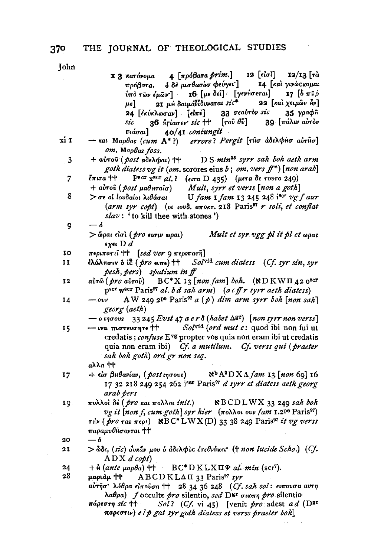**John** 

 $4 \lceil \pi \rho \delta \beta$ ara prim. 12 [είσὶ] 12/13 Гта Χ 3 κατόνομα ΙΔ Γκαι γινώς κομαι πρόβατα. δ δε μισθωτόσ φεύγει'] 16 [με δεί] [γενήσεται]  $17.56\pi$ Bo  $ν$ πὸ τῶν ἐμῶν ] 21 μη δαιμόνιδυναται  $sic^*$ 22 Γκαι γειμών Ηνλ μe] 33 σεαύτον sic 35 γραφ<sub>β</sub> 24 Γεκύκλωσαν] [είπε] 39 [πάλιν αυτόν sic  $36$   $\frac{1}{2}$   $\frac{1}{2}$   $\frac{1}{2}$   $\frac{1}{2}$   $\frac{1}{2}$   $\frac{1}{2}$   $\frac{1}{2}$   $\frac{1}{2}$   $\frac{1}{2}$   $\frac{1}{2}$   $\frac{1}{2}$   $\frac{1}{2}$   $\frac{1}{2}$   $\frac{1}{2}$   $\frac{1}{2}$   $\frac{1}{2}$   $\frac{1}{2}$   $\frac{1}{2}$   $\frac{1}{2}$   $\frac{1}{2}$   $\frac{1}{2}$   $\frac{1}{$  $\lceil \tau$ ov $\theta \hat{v} \rceil$ 40/41 coniungit πιάσαι] xi 1  $-$  και Μαρθας (cum A\*?) errore? Pergit [τησ αδελφησ αυτήσ] om. Maphas foss. D S min<sup>25</sup> syrr sah boh aeth arm 3 + αύτου (*post αδελφαι*) ++ goth diatess vg it (om. sorores eius b; om. vers  $f^{*}$ ) [non arab] Pscr  $\bar{x}$ scr al.? (etra D 435) (μετα δε τουτο 249)  $\overline{7}$  $\tilde{\epsilon} \pi$ ıra  $+ +$ Mult, syrr et verss [non a goth]  $+$   $a\dot{v}$ <sup>r</sup>o $\hat{v}$  (*post*  $\mu$ *aθHraî* $\sigma$ ) 8  $>$  σε οι ιουδαίοι λιθάσαι U fam I fam I 3 245 248 iscr vg f aur  $(arm syr cobt)$  (ot tovo.  $a\pi$ okt. 218 Paris<sup>97</sup> r soli, et conflat  $slav$ : 'to kill thee with stones')  $-$  o 9  $>$  ώραι είσι ( pro εισιν ωραι) Mult et syr vgg pl it pl et opas  $\epsilon \chi \epsilon \iota$  D  $d$ **IO**  $\pi$ εριπατεί †† [sed ver 9 περιπατή] Solvid cum diatess (Cf. syr sin, syr  $\mathbf{I}$ ελάλησεν δ ίξ ( pro ειπε) ++ pesh, pers) spatium in ff  $a\dot{v}$ τω $(bro a\dot{v}$ του $)$  BC\*X 13 [non fam] boh. (ND KWΠ 42 0<sup>8cr</sup> 12 pser weer Paris<sup>97</sup> al. bd sah arm) (a cff r syrr aeth diatess) AW 249 2<sup>pe</sup> Paris<sup>97</sup> a (p) dim arm syrr boh [non sah] 14  $\omega$ georg (aeth)  $-$  o ingous 33 245 Evst 47 a e r  $\delta$  (habet  $\Delta$ gr) [non syrr non verss] - tva morevonte ++ Solvid (ord mut e: quod ibi non fui ut 15 credatis; confuse E<sup>vg</sup> propter vos quia non eram ibi ut credatis quia non eram ibi) Cf. a mutilum. Cf. verss qui (praeter sah boh goth) ord gr non seq. αλλα ተተ  $17$  $+$  είσ βηθανίαν, (post ιησους)  $\aleph^b A^2 D X \Lambda$  fam 13 [non 69] 16 17 32 218 249 254 262  $i$ <sup>sor</sup> Paris<sup>97</sup> d syrr et diatess aeth georg arab pers 19. πολλοί δέ ( pro και πολλοι init.) **SBCDLWX** 33 249 sah boh *vg it* [non f, cum goth] syr hier (πολλοι ουν fam 1.2<sup>pe</sup> Paris<sup>97</sup>)  $\tau$ Hv ( $\overline{p}$ ro  $\tau$ as  $\pi$  $\epsilon$ ρι) NBC\*LWX(D) 33 38 249 Paris<sup>97</sup> it vg verss παραμυθήσονται ++ 20  $-$  6 > δδε, (sic) ουκάν μου ο αδελφος ετεθνίκει († non lucide Scho.) (Cf.  $2I$  $ADX$  d copt)  $+$   $\mathbf{\hat{n}}$  (ante  $\mu a \rho \theta a$ )  $+$  BC\*DKLX $\Pi \Psi$  al. min (scr<sup>7</sup>). 24 28 uapidu ++  $ABCDKLA\pi$  33 Paris<sup>97</sup> syr αύτησ' λάθρα είπουσα ++ 28 34 36 248 (Cf. sah sol: ειπουσα αυτη  $\lambda a \theta \rho a$ ) f occulte pro silentio, sed Dgr  $\sigma \omega \pi \eta$  pro silentio πάρεστη sic †† Sol? (Cf. vi 45) [venit pro adest ad (D<sup>gr</sup>)  $\pi$ apeoriv) elp gat syr goth diatess et verss praeter boh]

 $\mathbb{R}^2 \times \mathbb{R}^2$ 

370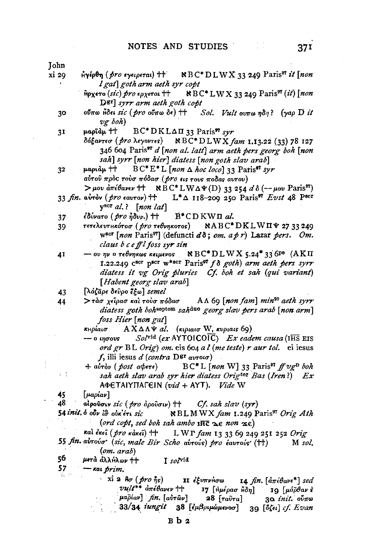- NBC\*DLWX 33 249 Paris<sup>97</sup> it [non xi 29 Ηγέρθη (*pro εγειρεται*) ++ l gat goth arm aeth syr copt **SBC\*LWX 33 249 Paris<sup>97</sup> (it)** [non Αρχετο (sic) pro ερχεται ++
	- D<sup>gr</sup> syrr arm aeth goth copt
	- ούπω ἦδει sic ( pro ούπω δε) ++ Sol. Vult oυπω ηδη? (γαρ D it 30  $ve$  boh
	- uapīdu ++  $BC^*DKL\Delta\Pi$  33 Paris<sup>97</sup> svr  $3I$ 
		- δόξαντεσ ( pro λεγοντες)  $NBC*DLWX$  fam 1.13.22 (33) 78 127 346 604 Paris<sup>97</sup> d [non al. latt] arm aeth pers georg boh [non sah] syrr [non hier] diatess [non goth slav arab]
	- papian ++  $BC^*E^*L$  [non  $\Delta$  hoc loco] 33 Paris<sup>97</sup> syr  $32$ αύτου πρός τούσ πόδασ (pro εις τους ποδας αυτου) > μου άπέθανεν + NBC\* LWΔ $\Psi$ (D) 33 254 d δ (-- μου Paris<sup>97</sup>)
	- $33$  fin. avrov (pro eavrov) ++ L<sup>\*</sup> $\Delta$  118-200 250 Paris<sup>97</sup> Evst 48 Pscr  $y<sup>scr</sup> al.$ ? [non lat]
	- 37 εδύνατο (*pro ήδυν.*) ++  $B^*$ CDKWII al.
	- τετελευτικότοσ ( *pro* τεθνηκοτος) **NABC\*DKLWH4 27 33 249** 39 wser [non Paris<sup>97</sup>] (defuncti  $d\delta$ ; om. a p r) Lazar pers. Om. claus b c e ff l foss syr sin
	- ου ην ο τεθνηκως κειμενος  $NBC^*DLWX$  5.24<sup>\*</sup> 33 6<sup>pe</sup> (ΑΚΠ 41 1.22.249  $C^{scr}$  p<sup>ser</sup> w\*ser Paris<sup>97</sup> f  $\delta$  goth) arm aeth pers syrr diatess it vg Orig pluries Cf. boh et sah (qui variant) [Habent georg slav arab]

 $>$ τάσ χείρασ και τουσ πόδασ AΛ60 [non fam] min<sup>20</sup> aeth syrr 44 diatess goth bohseptem sahduo georg slav pers arab [non arm] foss Hier [non gat]

- $-$  0  $\mu$   $\sigma$  ous  $Sol^{\text{vid}}$  (ex AYTOICOIC) Ex eadem causa (IHS EIS ord gr BL Orig) om. eis 604 a l (me teste) r aur tol. ei iesus f, illi iesus d (contra D<sup>gr</sup> avroio)
- $BC^*L$  [non W] 33 Paris<sup>97</sup> ff vg<sup>D</sup> boh  $+$   $a\dot{v}\tau \dot{\alpha}$  (*post abere*) sah aeth slav arab syr hier diatess Origter Bas (Iren?) Ex AΦETAIYΠAΓEIN (vid + AYT). Vide W

45  $\lceil \mu a \rho a \nu \rceil$ 

 $\mathbb{C}^{\times}$ 

- 54 init  $\delta$  obv l $\hat{\sigma}$  ovk'ert sic NBLMWX fam 1.249 Paris<sup>97</sup> Orig Ath (ord copt, sed boh sah ambo int  $\geq \epsilon$  non  $\leq \epsilon$ )
- καλ έκει ( pro κάκει) ++ LWP fam 13 33 69 249 251 252 Orig 55 fin. αυτούσ' (sic, male Bir Scho αυτούς) pro εαυτούς (††) M sol.
- $(om. arab)$
- 56. μετά άλλΗλων Η I solvid

57  $-$  Kai prim. a.<br>Alian

xi 2  $A\sigma$  (pro  $\tilde{\eta}s$ ) ΙΙ έξυπνήσω 14  $\hbar$ n.  $\left[ \frac{d}{d\pi} \epsilon \theta a \nu \epsilon^* \right]$  sed  $vult**$   $d\pi \epsilon \theta a$ vev †† Ι7 [Ημέρασ Ηδη]  $\log \left[\mu \hat{a} \hat{\rho} \theta a \nu \right]$ μαρίαν] fin. [aὐτῶν]  $28$  [ $ra\hat{v}ra$ ] 30 init. ovno 33/34 iungit 38 [εμβριμώμενοσ] 39 [όζει] cf. Evan

<sup>[</sup>λάζāρε δεῦρο ἔξω] semel 43

κμρίαισ  $AX \Delta \Lambda \Psi$  al. (κιριαισ W, κυριαις 69)

<sup>⊿8⊺</sup> alpovor sic (pro  $\partial \rho$   $\psi$ ) + Cf. sah slav (syr)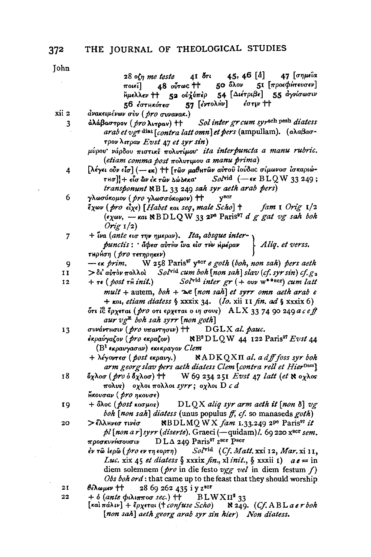|       | 28 οζη me teste 41 δτι 45, 46 [å] 47 [σημεία                                                                                                     |  |  |  |  |  |
|-------|--------------------------------------------------------------------------------------------------------------------------------------------------|--|--|--|--|--|
|       | 48 ούτως <sup>++</sup> 50 όλον 51 [προεφήτευσεν]<br>$\pi$ οιεί $\rceil$                                                                          |  |  |  |  |  |
|       | Ημελλεν ++ 52 ούλύπερ 54 [Διέτριβε] 55 αγνίσωσιν                                                                                                 |  |  |  |  |  |
|       | 56 έστηκότεσ 57 [έντολήν] έστιν ++                                                                                                               |  |  |  |  |  |
| xii 2 | ανακειμένων σύν (pro συνανακ.)                                                                                                                   |  |  |  |  |  |
| 3     | άλάβαστρον (pro λιτραν) ++ Sol inter gr cum syrsch pesh diatess                                                                                  |  |  |  |  |  |
|       | arab et vg <sup>r</sup> diat [contra latt omn] et pers (ampullam). (adaßao-                                                                      |  |  |  |  |  |
|       | τρον λιτραν Evst 47 et syr sin)                                                                                                                  |  |  |  |  |  |
|       | μύρου νάρδου πιστικέ πολυτίμου ita interpuncta a manu rubric.                                                                                    |  |  |  |  |  |
|       | (etiam comma post πολυτιμου a manu prima)                                                                                                        |  |  |  |  |  |
| 4     | Γλέγει ούν είσ] (- εκ) ++ [των μαθητών αύτου ιούδας σίμωνοσ ισκαριώ-                                                                             |  |  |  |  |  |
|       | $\tau$ Ησ]] + εἶσ ὣν ἐκ τῶν Δώλεκα' $Sol$ vid (- εκ $BLQW$ 33 249;                                                                               |  |  |  |  |  |
|       | transponunt NBL 33 249 sah syr aeth arab pers)                                                                                                   |  |  |  |  |  |
| 6     | $y^{Bcr}$<br>γλωσόκομον ( pro γλωσσόκομον) ††                                                                                                    |  |  |  |  |  |
|       | έχων (pro είχε) [Habet και seg, male Scho] +<br>fam 1 Orig 1/2                                                                                   |  |  |  |  |  |
|       | $(\epsilon \chi \omega \nu, -\kappa \alpha \iota \kappa \text{BDLQ W 33 2}^{\text{pe}} \text{ Paris}^{\text{97}} d g g at v g sa h \text{ both}$ |  |  |  |  |  |
|       | Orig $1/2$                                                                                                                                       |  |  |  |  |  |
| 7     | + iva (ante $\epsilon$ ισ την ημεραν). Ita, absque inter-                                                                                        |  |  |  |  |  |
|       | $p$ unctis: $\phi$ des dirtive lva elo rtiv tiué pav   Aliq. et verss.                                                                           |  |  |  |  |  |
|       | τηρήση ( <i>pro τετηρηκεν</i> ).                                                                                                                 |  |  |  |  |  |
| 9     | W 258 Paris <sup>97</sup> y <sup>ser</sup> e goth (boh, non sah) pers aeth<br>— ек <i>prim</i> .                                                 |  |  |  |  |  |
| 11    | $> \delta t$ avrov $\pi$ oh hod $\delta s$                                                                                                       |  |  |  |  |  |
| 12    | $+ \tau \epsilon$ (post $\tau \hat{n}$ init.) Solvid inter $gr$ (+ ovv w***scr) cum latt                                                         |  |  |  |  |  |
|       | mult + autem, $\text{both} + \Delta e$ [non sah] et syrr omn aeth arab e                                                                         |  |  |  |  |  |
|       | + $\kappa$ ai, etiam diatess $\zeta$ xxxix 34. ( <i>Io.</i> xii 11 fin. ad $\zeta$ xxxix 6)                                                      |  |  |  |  |  |
|       | ότι ίδερχεται (pro oτι ερχεται ο ιη σους) ALX 33 74 90 249 a c e ff                                                                              |  |  |  |  |  |
|       | aur $v g^E$ boh sah syrr [non goth]                                                                                                              |  |  |  |  |  |
| 13    | συνάντησιν (pro υπαντησιν) $\uparrow\uparrow$ DGLX al. pauc.                                                                                     |  |  |  |  |  |
|       | ἐκρανγαζον ( pro εκραζον)<br>$R^3D LQW$ 44 122 Paris <sup>97</sup> Evst 44                                                                       |  |  |  |  |  |
|       | (Β <sup>1</sup> εκραυγασαν) εκεκραγον Clem                                                                                                       |  |  |  |  |  |
|       | + λέγοντεσ (post εκραυγ.)<br>$NADKQX\Pi$ al. a dff foss syr boh                                                                                  |  |  |  |  |  |
|       | arm georg slav pers aeth diatess Clem [contra rell et Hier <sup>Dam</sup> ]                                                                      |  |  |  |  |  |
| 18    | δχλοσ (pro ό δχλοσ) + W 69 234 251 Evst 47 latt (et $\aleph$ oχλος                                                                               |  |  |  |  |  |
|       | πολυς) οχλοι πολλοι syrr; οχλοι D c d                                                                                                            |  |  |  |  |  |
|       | $\tilde{h}$ κουσαν ( <i>pro</i> ηκουσε)                                                                                                          |  |  |  |  |  |
| 19    | + δλος (post κοσμος) DLQX aliq syr arm aeth it [non δ] $vg$                                                                                      |  |  |  |  |  |
|       | boh [non sah] diatess (unus populus ff, cf. so manaseds goth)                                                                                    |  |  |  |  |  |
| 20    | $\aleph$ BDLMQ WX fam 1.33.249 2 <sup>pe</sup> Paris <sup>97</sup> it<br>> έλλινεσ τινέσ                                                         |  |  |  |  |  |
|       | pl [non a r] syrr (diserte). Graeci (-quidam)l. 69 220 xscr sem.                                                                                 |  |  |  |  |  |
|       | προσκυνήσουσιν DLΔ 249 Paris <sup>97</sup> z <sup>scr</sup> Pscr                                                                                 |  |  |  |  |  |
|       | έν τῶ ἱερῶ (pro εν τη εορτη) Sol <sup>γid</sup> (Cf. Matt. xxi 12, Mar. xi 11,                                                                   |  |  |  |  |  |
|       | Luc. xix 45 et diatess $\S$ xxxix fin., xl init., $\S$ xxxii 1) $ae = in$                                                                        |  |  |  |  |  |
|       | diem solemnem ( $\mathbf{p}$ ro in die festo vgg vel in diem festum f)                                                                           |  |  |  |  |  |
|       | Obs boh ord: that came up to the feast that they should worship                                                                                  |  |  |  |  |  |
| 21    | θέλωμεν ++ 28 69 262 435 i y z <sup>scr</sup>                                                                                                    |  |  |  |  |  |
| 22    | + $\delta$ (ante $\phi$ ιλιπποσ sec.) + BLWX $\Pi^2$ 33<br>[και πάλιν] + έρχεται († confuse Scho) $\aleph$ 249. (Cf. ABL a er boh                |  |  |  |  |  |
|       | [non sah] aeth georg arab syr sin hier) Non diatess.                                                                                             |  |  |  |  |  |
|       |                                                                                                                                                  |  |  |  |  |  |
|       |                                                                                                                                                  |  |  |  |  |  |

 $\ddot{\phantom{0}}$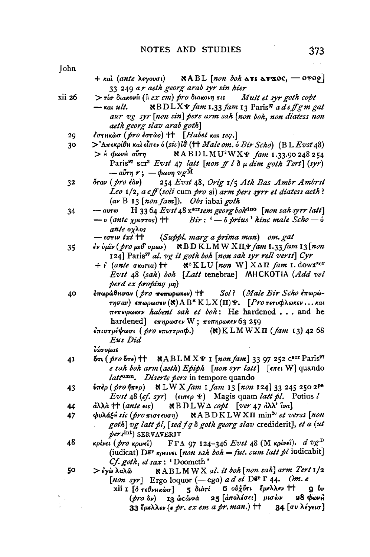| + και (ante λεγουσι) $\mathbb{R}$ $\text{ABL}$ [non boh $\text{A}$ $\text{BIL}$ $\text{A}$ $\text{C}$ $\text{C}$ $\text{C}$ $\text{A}$ $\text{C}$ $\text{C}$ $\text{C}$ $\text{C}$ $\text{C}$ $\text{C}$ $\text{C}$ $\text{C}$ $\text{A}$ $\text{D}$ $\text{D}$ $\text{D}$ $\text{A}$ $\text{D}$ $\text$     |  |  |  |
|--------------------------------------------------------------------------------------------------------------------------------------------------------------------------------------------------------------------------------------------------------------------------------------------------------------|--|--|--|
| 33 249 ar aeth georg arab syr sin hier                                                                                                                                                                                                                                                                       |  |  |  |
| $\mathcal{L}$ , and the set of $\mathcal{L}$ and $\mathcal{L}$ and $\mathcal{L}$ and $\mathcal{L}$ and $\mathcal{L}$ and $\mathcal{L}$ and $\mathcal{L}$ and $\mathcal{L}$ and $\mathcal{L}$ and $\mathcal{L}$ and $\mathcal{L}$ and $\mathcal{L}$ and $\mathcal{L}$ and $\mathcal{L}$ and $\mathcal{L}$ and |  |  |  |

- xii 26  $>$  τίσ διακον $\hat{H}$  ( $\hat{H}$  ex em) pro διακονη τις Mult et syr goth copt NBDLXV fam 1.33 fam 13 Paris<sup>9</sup> a de ff g m gat  $-$  kai ult. aur vg syr [non sin] pers arm sah [non boh, non diatess non aeth georg slav arab goth]
	- εστικώσ (pro έστως) + [Habet και seq.] 29
	- $>$ 'Απεκρίθη και είπεν ο (sic) ισ (†† Male om. ο Bir Scho) (ΒL Evst 48) 30
		- $>$ Η ΦωνΗ αΰτη **NABDLMU**<sup>2</sup>WX¥ fam 1.33.90 248 254 Paris<sup>97</sup> scr<sup>3</sup> Evst 47 latt [non ff l  $\delta \mu$  dim goth Tert] (syr)  $-\arctan r$ ;  $-\phi$ ωνη  $v \rho$ <sup>M</sup>
	- 254 Evst 48, Orig 1/5 Ath Bas Ambr Ambrst 32  $\delta$ rav ( $\beta$ ro  $\epsilon$ àv) Leo  $1/2$ , a eff (soli cum pro si) arm pers syrr et diatess aeth? (av B 13 [non fam]). Obs iabai goth
	- $-av\tau\omega$ H 3364 Evst 48  $x^{s}$ crsem georg bohdao [non sah syrr latt] 34  $Bir: -\delta$  prius' hinc male  $Sch_0 - \delta$ — ο (ante χριστος) †† ante oxhos

(Suppl. marg a prima man) om. gat  $\epsilon$ στιν 1x1  $+$ 

- εν ύμιν (pro μεθ υμων)  $\mathcal{R}$  BD KLMW XII, V fam 1.33 fam 13 [non 35 124] Paris<sup>97</sup> al. vg it goth boh [non sah syr rell verss] Cyr
	- $N^{c}$ KLU [non W]  $X\Delta\Pi$  fam 1. dowx<sup>scr</sup>  $+$   $\cdot$  (ante σκοτια) ++ Evst 48 (sah) boh [Latt tenebrae] MHCKOTIA (Add vel  $perd$  ex proping  $\mu$ n)
- Sol? (Male Bir Scho έπωρώέπωρώθησαν ( pro meπωρωκεν) †† 40 τησαν) επωρωσεν (Κ)  $AB^*K LX(\Pi)\Psi$ . [Pro τετυφλωκεν... και  $\pi \epsilon \pi \omega \rho \omega \kappa \epsilon \nu$  habent sah et boh: He hardened ... and he hardened]  $\epsilon \pi \eta \rho \omega \sigma \epsilon \nu$  W;  $\pi \epsilon \pi \eta \rho \omega \kappa \epsilon \nu$  63 259

έπιστρέψωσι ( pro επιστραφ.)  $(k)$ KLMWXII  $(fam 13)$  42 68 Eus Did

iáoouat

- $\delta$ TL (pro  $\delta$ Te)  $\mathbf{H}$  NABLMXYI [non fam] 33 97 252 C<sup>8CT</sup> Paris<sup>97</sup> 41 e sah boh arm (aeth) Epiph [non syr latt]  $\lceil \epsilon \pi \epsilon \cdot W \rceil$  quando lattomn. Diserte pers in tempore quando
- υπέρ (pro ήπερ) NLW X fam 1 fam 13 [non 124] 33 245 250 2<sup>pe</sup> 43 Evst 48 (cf. syr)  $(\epsilon \cdot \pi \epsilon \rho \Psi)$  Magis quam latt pl. Potius l
- $RBDLWA$  copt [ver 47 d $\lambda \lambda$ ' lva]  $d\lambda\lambda\dot{a}$  ††  $(ante \text{ } \epsilon \text{ } \epsilon \text{s})$ 44
- 47 φυλάξη sic (pro πιστευση) NABDKLWXII min<sup>20</sup> et verss [non goth] vg latt pl, [sed f q  $\delta$  goth georg slav crediderit], et a (ut persint) SERVAVERIT
- FTA 97 124-346 Evst 48 (M κρίνει). d  $vg^D$ 48 κρίνει (*pro κριν*εῖ) (iudicat)  $D^{gr}$  *kpeivel* [*non sah boh* = *fut. cum latt pl* iudicabit] Cf. goth, et sax: 'Doometh'

50

- NABLMWX al. it boh [non sah] arm Tert 1/2 > έγὼ λαλῶ [non syr] Ergo loquor (-ego) a d et Der  $\Gamma$  44. Om. e
	- xii I [ό τεθνηκώσ] 5 διάτί 6 ούχότι έμελλεν ++ 9 δν (pro δν) 13 ώς άννα 25 [άπολέσει] μισών 28 φωνή 33 ξμελλεν (ε *pr. ex em a pr. man.*) †† 34 [συ λέγεισ]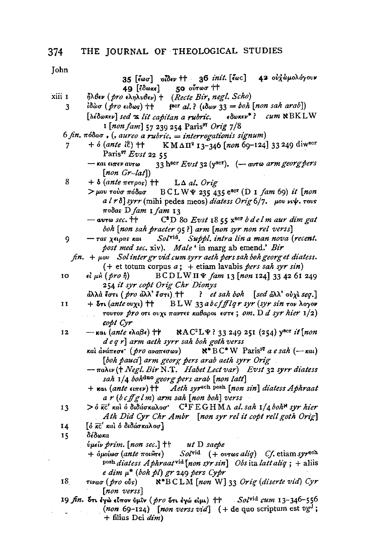John

35 [έωσ] οίδεν ++ 36 init. [έως] 42 ούχωμολόγουν  $49$  [εδωκε] 50 ούτωσ ††

- $\hbar\lambda$ θεν (pro εληλυθεν) + (Recte Bir, negl. Scho) xiii 1
	- $\{for al. \}$  ( $down 33 = boh [non sah arab]$ )  $\overline{\mathbf{3}}$ ίδὼσ (*pro ε*ιδως) ††
		- [*débokev]* sed x lit capitan a rubric.  $\epsilon$  $\delta \omega \kappa \epsilon \nu^*$ ?  $\mathcal{C}u m$   $\aleph$  BK LW I [non fam] 57 239 254 Paris<sup>97</sup> Orig 7/8
	- $6$  fin.  $\pi$ όδασ, (, aureo a rubric. = interrogationis signum)
		- $+$   $\delta$  (ante  $i\hat{c}$ )  $+$ K M ΔΠ<sup>2</sup> 13-346 [non 69-124] 33 249 diwser Paris<sup>97</sup> Evst 22 55
			- 33 hser Evst 32 ( $y^{sc}$ ). (- avro arm georg pers  $-$  και ειπεν αυτω  $[non Gr-lat]$
	- 8  $+$   $\delta$  (ante  $\pi$ erpos)  $\dagger\dagger$  $L\Delta$  al. Orig
		- > μου τούσ πόδασ  $BCLW\Psi$  235 435 e<sup>scr</sup> (D 1 fam 69) it [non  $a l r \delta$  syrr (mihi pedes meos) diatess Orig 6/7. μου νιψ. τους ποδας D fam 1 fam 13
			- $-$  avro sec.  $\dagger\dagger$ C<sup>8</sup>D 80 Evst 18 55 x<sup>8cr</sup> b delm aur dim gat boh [non sah praeter 95?] arm [non syr non rel verss]
	- Solvid. Suppl. intra lin a man nova (recent. 9  $-\tau$ as  $\chi$ etoas kat post med sec. xiv). Male ' in marg ab emend.' Bir
		- $fin. + \mu$ ov Sol inter gr vid cum syrr aeth pers sah boh georg et diatess.  $(+$  et totum corpus  $a$ ; + etiam lavabis *pers sah syr sin*)
	- 10  $\epsilon l$   $\mu$ h  $(\text{pro } \hat{\eta})$  $BCD L W \Pi \Psi$  fam 13 [non 124] 33 42 61 249 254 it syr copt Orig Chr Dionys
		- άλλά έστι ( pro άλλ' έστι) ++ ? et sah boh [sed  $d\lambda\lambda$ ' ov $\lambda$  seq.]
	- + δτι (ante ovχι) ++ BLW 33 abcffflqr syr (syr sin rov λογον 11 τουτον *pro* οτι ουχι παντες καθαροι εστε; om. D d syr hier  $1/2$ ) copt Cyr
	- NAC<sup>2</sup>L<sub>¥</sub>? 33 249 251 (254) yser it [non — και (*ante* ελαβε) †† 12  $d e q r$  arm aeth syrr sah boh goth verss
		- $\aleph^*$  BC<sup>\*</sup> W Paris<sup>97</sup> a e sah (-- kai) καὶ ἀνάπεσε ( pro αναπεσων) [boh pauci] arm georg pers arab aeth syrr Orig
		- $-\pi$ ahiv († Negl. Bir N.T. Habet Lect var) Evst 32 syrr diatess sah 1/4 bohdno georg pers arab [non latt]
		- $+$  Kat (ante  $\epsilon$ u $\pi$  $\epsilon$ v)  $+$  Aeth syr<sup>sch pesh</sup> [non sin] diatess Aphraat  $a r (b c ff g l m)$  arm sah [non boh] verss

- [δ κτ' και δ διδάσκαλοσ] 14
- δέδωκα 15
	- $ν$ μεῖν prim.  $[non sec.]$  †† ut D saepe
	- $+$  δμοίωσ (ante ποιθτε)  $Sol<sup>vid</sup>$  (+ ovros aliq) Cf. etiam syr<sup>sch</sup> peeh diatess Aphraat<sup>vid</sup> [non syr sin] Obs it a latt aliq; + aliis e dim  $\mu^*$  (boh pl) gr 249 pers Cypr
- 18 τινασ ( pro oύs)  $N*BCLM$  [non W] 33 Orig (diserte vid) Cyr [non verss]
- 19 fin. δτι έγω είπον ύμιν (pro δτι έγώ είμι) ++ Solvid cum 13-346-556 (non 69-124) [non verss vid]  $(+$  de quo scriptum est  $vg^{J}$ ;  $+$  filius Dei  $dim$ )

 $>$  6  $\bar{\kappa}$ C' και ο διδάσκαλοσ' C<sup>2</sup>FEGHMΛ al. sah 1/4 boh<sup>x</sup> syr hier 13 Ath Did Cyr Chr Ambr [non syr rel it copt rell goth Orig]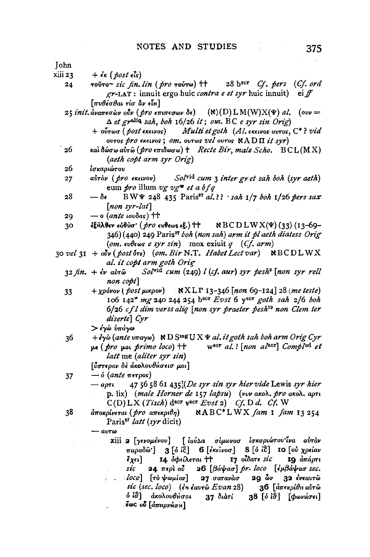John xiii 23  $+$  $\epsilon$ <sub>K</sub> (post  $\epsilon$ **i**s) τούτο~ sic fin. lin ( pro τούτω)  $\uparrow\uparrow$  $28 \text{ b}$ <sup>scr</sup> *Cf. pers* (*Cf. ord* 24 gr-LAT : innuit ergo huic contra e et syr huic innuit)  $e^{i}$  ff  $\lceil \pi v \theta \epsilon \sigma \theta \alpha \epsilon \tau i \sigma \ \hat{\alpha} \nu \ \epsilon \tilde{\iota} \mu \rceil$ 25 init. αναπεσών ούν (pro επιπεσων δε)  $(N)(D) L M(W)X(\Psi)$  al. (ovv =  $\Delta$  et gralia sah, boh 16/26 it; om. BC e syr sin Orig)  $+$   $o\tilde{v}$ τωσ ( $\mathit{post}$  εκεινος) Multi et goth (Al. EKELVOS OUTOS, C\*? vid ovros pro exeivos; om. ovros vel ovros  $\mathbb{R}$ ADII it syr) 26 και δώσω αύτω (pro επιδωσω) + Recte Bir, male Scho,  $BCL(MX)$ (aeth copt arm syr Orig) ισκαριώτου 26 Solvid cum 3 inter gret sah boh (syr aeth) 27 αύτὸν ( pro εκεινον) eum *pro* illum vg vg<sup>m</sup> et a bfq  $28$  $-\delta \epsilon$ BW  $\blacktriangleright$  248 435 Paris<sup>97</sup> al.?? Sah 1/7 boh 1/26 pers sax  $[non syr-lat]$  $\equiv$  0 (ante tovoas)  $\uparrow\uparrow$ 29 30 ἐξΑλθεν εὐθὺσ· ( *pro ε*υθεως εξ.) ††  $R B C D L W X(\Psi) (33) (13-69-$ 346) (440) 249 Paris<sup>97</sup> boh (non sah) arm it pl aeth diatess Orig (om.  $\epsilon v \theta \epsilon \omega s$  e syr sin) mox exiuit q (Cf. arm) 30 vel 31 +  $\partial \mathbf{v}$  (post  $\delta \mathbf{r}$ ) (om. Bir N.T. Habet Lect var)  $\mathbf{R}$ BCDLWX al. it copt arm goth Orig  $32 \text{ fin.} + \epsilon \nu$  aυτώ Solvid cum (249) l (cf. aur) syr pesh<sup>9</sup> [non syr rell non copt]  $+ \chi \rho \omega$  (post  $\mu \kappa \rho \omega$ ) NXLP 13-346 [non 69-124] 28 (me teste) 33 106 142\* mg 240 244 254 bscr Evst 6 yscr goth sah 2/6 boh  $6/26$  cfl dim verss aliq [non syr praeter pesh<sup>39</sup> non Clem ter diserte Cyr  $>$  έγὼ υπάγω 36  $+ \epsilon \gamma \dot{\omega}$  (ante  $v \pi \alpha \gamma \omega$ ) ND S<sup>mg</sup> U X & al. it goth sah boh arm Orig Cyr w<sup>scr</sup> al.? [non al<sup>scr</sup>] Compl<sup>od</sup> et  $\mu\epsilon$  (*pro*  $\mu$ oi *primo loco*)  $\dagger\uparrow$ latt me (aliter syr sin) [ύστερον δε ακολουθήσεισ μοι]  $-$  6 (ante  $\pi$ erpos) 37 47 56 58 61 435;(De syr sin syr hier vide Lewis syr hier  $a$ *ori* p. lix) (male Horner de 157 lapsu) (vvv akol. pro akol. apri  $C(D) LX (Tisch)$  d<sup>scr</sup> v<sup>scr</sup> Evst 2) Cf. D d. Cf. W 38 NABC\*LWX fam I fam 13254  $d$ ποκρίνεται (*pro* απεκριθη) Paris<sup>97</sup> latt (syr dicit)  $-$  avro xiii 2 [γενομένου] [ ιούλα σίμωνοσ ισκαριώτου<sup>· ζ</sup>να αυτον παραδώ'] 3 [ό ίξ] 6 [έκεινοσ] 8 [ό ίξ] 10 [ού χρείαν  $\ell_{X^{c_i}}$ 14. όφείλεται †† 17 οίδατε sic 19 απάρτι sic 24 περίου 26 [βάψασ] pr. loco [εμβάψασ sec.  $\sim$   $loco$   $\lceil$   $\tau \delta \psi \omega \mu \omega \nu \rceil$ 27 σατανάσ 29 *ών* 32 ένεαυτώ 36 [άπεκρίθη αυτώ sic (sec. loco) ( $\epsilon$ n  $\epsilon$ avr $\hat{\omega}$  Evan 28) δίσ] ακολουθήσαι 37 διάτί  $38$  [ό ίστ] [φωνήσει] εως ού [απαρνήση]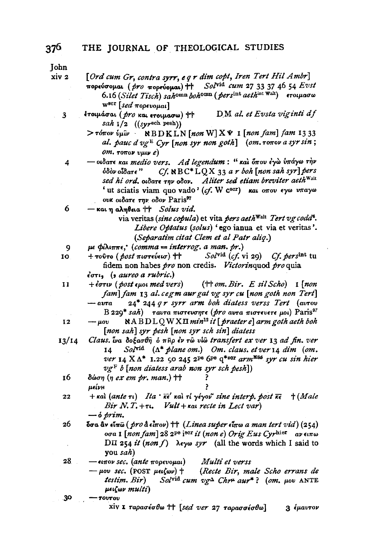**John** xiv<sub>2</sub>

 $\overline{\mathbf{3}}$ 

 $\overline{4}$ 

| [Ord cum Gr, contra syrr, e q r dim copt, Iren Tert Hil Ambr] |  |  |  |  |  |
|---------------------------------------------------------------|--|--|--|--|--|
|---------------------------------------------------------------|--|--|--|--|--|

- Solvid cum 27 33 37 46 54 Evst πορεύσομαι (pro πορεύομαι) ++ 6.16 (Silet Tisch) sahomn bohomn (persint aethint Walt) croupaow w<sup>scr</sup> [sed πορευομαι]
- ετοιμάσαι (*pro* και ετοιμασω) ++ DM al. et Evsta viginti df  $sah$   $1/2$  ((syrsch pesh))
	- $>$  τόπον ύμιν  $\setminus \text{RBNLN}$  [non W]  $X \cdot \text{I}$  [non fam] fam 1333 al. pauc d vg<sup>E</sup> Cyr [non syr non goth] (om.  $\tau$ o $\pi$ ov a syr sin;  $(0, 0)$  row  $v \mu \nu e$
- οιδατε και medio vers. Ad legendum: "και όπου έγω υπάγω την  $Cf$ . NBC<sup>\*</sup>LQX 33 a r boh [non sah syr] pers όδὸν οἶδατε '' sed hi ord. otdare rny odov. Aliter sed etiam breviter aeth Walt ' ut sciatis viam quo vado' (cf. W  $c^{scr}$ ) και οπου εγω υπαγω ουκ οιδατε την οδον Paris<sup>97</sup>
- 6  $-$  και η αληθεια  $+$  Solus vid.
	- via veritas (sine copula) et vita pers aeth<sup>Walt</sup> Tert vg codd<sup>6</sup>. Libere Optatus (solus) 'ego ianua et via et veritas'. (Separatim citat Clem et al Patr aliq.)
- $\mu \in \phi(\lambda \in \pi \in \mathcal{C})$  (comma = interrog. a man. pr.) 9
- $Sol^{\text{vid}}(cf. \text{vi } 29)$  Cf. persint tu 10  $+$  τούτο ( $post$  πιστεύεισ)  $+$ fidem non habes pro non credis. Victorinquod pro quia  $\epsilon \sigma \tau$ ,  $\epsilon$  aureo a rubric.)
- 11  $+$  $\acute{e}$ στιν (post εμοι med vers)  $(\dagger \dagger om.Bir. E sil Scho)$  1 [non fam] fam 13 al. cegm aur gat vg syr cu [non goth non Tert] 24\* 244 qr syrr arm boh diatess verss Tert (avrov  $-<sub>avra</sub>$  $B$  229<sup>\*</sup> sah) ταυτα πιστευσητε (*pro* αυτα πιστευετε μοι) Paris<sup>97</sup>
- NABDLQWXII min<sup>12</sup> it [praeter e] arm goth aeth boh  $-\mu$ ov 12 [non sah] syr pesh [non syr sch sin] diatess
- Claus. Lva dogaoth o nhp ev ro vio transfert ex ver 13 ad fin. ver  $13/14$  $14$ Solvid  $(\Lambda^*)$  plane om.) Om. claus. et ver 14 dim (om. ver 14  $X \Lambda^*$  1.22  $\zeta$ 0 245 2<sup>pe</sup> 6<sup>pe</sup> q<sup>\*sor</sup> arm<sup>MSS</sup> syr cu sin hier  $v g^F b$  [non diatess arab non syr sch pesh])
- 16 δώση  $(n \text{ } ex \text{ } em \text{ } pr \text{. } man.)$  †† μείνμ
- $+$  καλ (ante τι) Ita ' κε' καλ τί γέγον' sine interp. post κε  $+$  (Male 22 Bir N.T.+ $\tau$ . Vult +  $\kappa$ at recte in Lect var)  $-$  o prim.
- 26 **δσα αν είπω** ( pro α είπον)  $\uparrow\uparrow$  (*Linea super είπω a man tert vid*) (254) οσα 1 [non fam] 28 2<sup>pe</sup> i<sup>scr</sup> it (non e) Orig Eus Cyrhier av ειπω DII 254 it (non f)  $\lambda \in \mathcal{Y}$  (all the words which I said to you sah)

28  $-$ eιπον sec. (ante πορευομαι) Multi et verss

 $-\mu$ ου sec. (POST μειζων) ή (Recte Bir, male Scho errans de testim. Bir) Solvid cum  $vg^{\Delta}$  Chr<sup>u</sup> aur<sup>\*</sup>? (om. µov ANTE μειζων multi)

30 - TOUTOU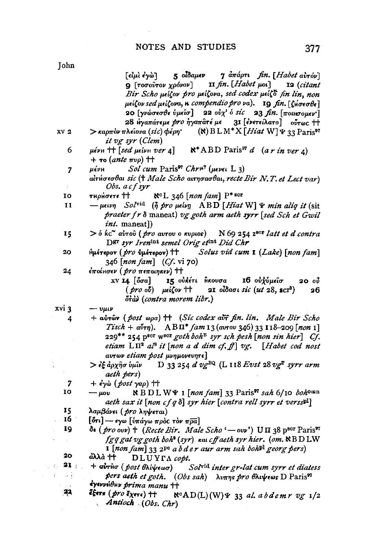|                                   | 5 οίδαμεν 7 απάρτι fin. [Habet αυτόν]<br>[ <i>હોµ</i> ો કંγેો                                                                                          |
|-----------------------------------|--------------------------------------------------------------------------------------------------------------------------------------------------------|
|                                   | $9$ [ <i>rooovrov xpóvov</i> ] II fin. [Habet $\mu$ oi] I2 (citant                                                                                     |
|                                   | Bir Scho μείζον pro μείζονα, sed codex μείζο fin lin, non                                                                                              |
|                                   | μείζον sed μείζονα, n compendio pro va). 19 fin. [ζήσεσθε]                                                                                             |
|                                   | 20 [γνώσεσθε ύμείσ] 22 ούχ' ό sic 23 fin. [ποικσομεν]                                                                                                  |
|                                   |                                                                                                                                                        |
|                                   | 28 Ηγαπάτεμε <i>pro ήγαπατέ με</i> 31 [ενετείλατο] ούτως ++                                                                                            |
| XV <sub>2</sub>                   | > καρπόν πλείονα (sic) φέρη $\bullet$ (N) $BLM^*X$ [Hiat W] $\Psi$ 33 Paris <sup>97</sup><br>it vg syr (Clem)                                          |
| 6                                 | $\mu$ е́νн †† [sed $\mu$ е́іνн ver 4] $\aleph^*$ ABD Paris <sup>97</sup> d (a r in ver 4)                                                              |
|                                   | $+$ το (ante πυρ) ††                                                                                                                                   |
| $\overline{\mathbf{z}}$           | Sol cum Paris <sup>97</sup> Chr <sup>μ7</sup> (μενει L 3)<br>μένн                                                                                      |
|                                   | alruotobai sic († Male Scho airnoaobai, recte Bir N.T. et Lect var)                                                                                    |
| ÷.                                | Obs. a cf syr                                                                                                                                          |
| 10                                | $\aleph^c L$ 346 [non fam] $P^*$ sor<br>τ <b>μρ</b> ήσετε ††                                                                                           |
| 11                                | $-\mu\epsilon\iota\nu\eta$ Solvid (η pro μείνη ABD [Hiat W] Ψ min aliq it (sit                                                                         |
|                                   | praeter fr $\delta$ maneat) vg goth arm aeth syrr [sed Sch et Gwil                                                                                     |
|                                   | <i>int.</i> maneat])                                                                                                                                   |
|                                   | $>$ 6 kc <sup><math>\sim</math></sup> aυτου (pro aυτου ο κυριος) N 69 254 z <sup>BCT</sup> latt et d contra                                            |
| 15                                | Der syr Irenint semel Orig etint Did Chr                                                                                                               |
|                                   |                                                                                                                                                        |
| 20                                | Ημέτερον ( <i>pro</i> ύμέτερον) tt<br>Solus vid cum 1 (Lake) [non fam]                                                                                 |
|                                   | 346 [non fam] (Cf. vi 70)                                                                                                                              |
| 24                                | εποίнσεν ( pro πεποιηκεν) ++                                                                                                                           |
|                                   | xv 14 [ốơa]<br>15 ούκέτι Ηκουσα 16 ούχυμείσ<br>200                                                                                                     |
|                                   | $(\text{pro } of)$ $\mu\epsilon\zeta$ ov $\uparrow\uparrow$ 21 $\delta\zeta$ and $\epsilon$ (ut 28, scr <sup>2</sup> )<br>26                           |
|                                   | <sup>5</sup> tài (contra morem libr.)                                                                                                                  |
| xvi 3                             | $-\nu \mu \nu$                                                                                                                                         |
| 4                                 | + aurov (post wpa) ++ (Sic codex avr fin. lin. Male Bir Scho                                                                                           |
|                                   | Tisch + $a\tilde{\nu}\tau\eta$ ). ABII* $fam$ 13 (avrov 346) 33 118-209 [non 1]                                                                        |
|                                   | 229** 254 pser weer goth boh <sup>B</sup> syr sch pesh [non sin hier] Cf.                                                                              |
|                                   | etiam $L \Pi^2$ al <sup>8</sup> it [non a d dim cf. ff] vg. [Habet cod nost                                                                            |
|                                   | aυτων etiam post μνημονευητε]                                                                                                                          |
|                                   | $>$ εξ αρχήσ ύμιν D 33 254 d vg <sup>BQ</sup> (L 118 Evst 28 vg <sup>T</sup> syrr arm                                                                  |
|                                   | aeth pers)                                                                                                                                             |
| 7                                 | $+$ $\epsilon \gamma \omega$ (post yap) $+$                                                                                                            |
| 10                                | NBDLW¥ 1 [non fam] 33 Paris <sup>97</sup> sah 6/10 bohomn<br>$-\mu$ ov                                                                                 |
|                                   | aeth sax it [non cf q $\delta$ ] syr hier [contra rell syrr et verss¤]                                                                                 |
| 15                                | λαμβάνει (pro ληψεται)                                                                                                                                 |
| 16 ·                              |                                                                                                                                                        |
| 19                                | [ότι] — εγω [ύπάγω πρός τον πρα]                                                                                                                       |
|                                   | $\delta$ (pro ovv) + (Recte Bir. Male Scho' - ovv') U $\Pi$ 38 pscr Paris <sup>97</sup>                                                                |
|                                   | fgq gat vg goth boh <sup>9</sup> (syr) kat cff aeth syr hier. (om. NBD LW                                                                              |
|                                   | I [non fam] 33 2 <sup>pe</sup> a b d e r aur arm sah boh <sup>pl</sup> georg pers)                                                                     |
| 20                                | <b>ἀλλὰ ተተ</b><br>DLUYTA copt.                                                                                                                         |
| 21:<br>$\mathcal{A}_\mathrm{c}$ . | $+$ αυτήσ ( <i>post θλίψεωσ</i> )<br>Sol <sup>vid</sup> inter gr-lat cum syrr et diatess                                                               |
| t.<br>처금                          | pers aeth et goth. (Obs sah) $\lambda v \pi \eta s$ pro θλιψεως D Paris <sup>97</sup>                                                                  |
|                                   | έγεννήθην <i>prima manu</i> tt                                                                                                                         |
| ୍ୟୟ                               | $\epsilon$ <sup>2</sup> $\epsilon$ (pro $\epsilon$ <sub>X</sub> er $\epsilon$ ) + $\epsilon$ $\aleph$ <sup>o</sup> $AD(L)(W)\Psi$ 33 al. abdemr vg 1/2 |
|                                   | Antioch (Obs. Chr)                                                                                                                                     |
|                                   |                                                                                                                                                        |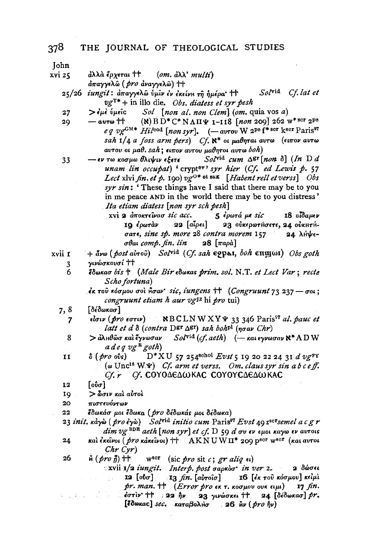Iohn

- xvi 25 άλλα έργεται ΤΤ  $(om. d\lambda' multi)$ άπαγγελώ (pro αναγγελώ) ++
	- Solvid Cf. lat et iungit: απαγγελώ ύμιν έν έκείνη τη ημέρα' | +  $25/26$  $v g^{T*}$  + in illo die. *Obs. diatess et syr pesh*
	- > έμε ύμεις Sol [non al. non Clem] (om. quia vos a)  $27$
	- (8) BD\* C\* NAH  $\psi$  1-118 [non 209] 262 w\*scr 2Pe 29.  $-\cos t$ eq vg<sup>GM\*</sup> Hil<sup>cod</sup> [non syr]. (-avrov W 2<sup>pe</sup> f<sup>\* scr</sup> k<sup>scr</sup> Paris<sup>97</sup> sah  $1/4$  a foss arm pers)  $Cf$ .  $\aleph^*$  or  $\mu$ aθηται αυτω (ειπον αυτω αυτου οι μαθ. sah; ειπον αυτου μαθητοι αυτω boh)
	- Solvid cum  $\Delta$ gr [non  $\delta$ ] (In  $D$  d - εν τω κοσμω θλιψιν εξετε 33 unam lin occubat) 'crypt<sup>ov</sup>' syr hier (Cf. ed Lewis p. 57 Lect xlvi fin. et p. 190)  $v e^{0*}$  et sax [Habent rell et verss] Obs syr sin: 'These things have I said that there may be to you in me peace AND in the world there may be to you distress' Ita etiam diatess [non syr sch pesh]
		- xvi 2 αποκτείνασ sic acc. 5 έρωτά με sic 18 oldauev 10 έρωτάν 22 [αἶρει] 23 ούκερωτήσετε, 24 ούκητήσατε, sine sp. more 28 contra morem 157 24 λήψεσθαι comp. fin. lin  $28 \left[ \pi a \rho \dot{a} \right]$
- $+$  ave (post airoi) Solvid (Cf. sah eppen, boh enuyos) Obs goth xvii 1 γινώσκουσί ττ 3
	- 6 έδωκασ bis † (Male Bir εδωκας prim. sol. N.T. et Lect Var; recte Scho fortuna)
		- $\epsilon$ κ του κόσμου σοι μσαν sic, iungens ++ (Congruunt 73 237 σοι; congruunt etiam h aur vgIz hi pro tui)
	- 7,8 **[δέδωκασ]** 
		- $\mathbb{R} \times \text{BCLN W XY}$  33 346 Paris<sup>\$7</sup> al. pauc et είσιν (*pro* εστιν) 7 latt et d  $\delta$  (contra Dgr  $\Delta$ gr) sah bohpl (ngav Chr)
		- 8  $>$ άλμθωσ και έγνωσαν  $Sol^{\text{vid}}(cf. aeth)$  (-  $\kappa$ at εγνωσαν  $\aleph^*$  A D W  $a$  deq vg  $a$  goth)
		- $D^*XU$  57 254<sup>schol</sup> Evst 5 19 20 22 24 31 d vg FY  $\mathbf{I}$  $\delta$  (*pro* ovs) ( $\omega$  Unc<sup>16</sup> W  $\Psi$ ) *Cf. arm et verss. Om. claus syr sin a b c eff.*  $Cf$ .  $r$ Cf. COYOΔEΔWKAC COYOYCΔEΔWKAC
	- 12  $\lceil$ ούσ $\rceil$
	- > δοιν και αυτοι 19
	- $20$ πιστευόντων
	- έδωκάσ μοι έδωκα (*pro* δέδωκάς μοι δέδωκα)  $22$
	- 23 init. κάγω (pro έγω) Solvid initio cum Paris<sup>97</sup> Evst 49 z<sup>scr</sup>semel a c g r  $dim$   $vg$ <sup>BDE</sup> aeth [non syr] et cf. D 59 d  $\sigma v$   $\epsilon v$   $\epsilon \mu$ ot  $\kappa a \gamma \omega \epsilon v$  avrots
	- και έκεινοι (*pro* κάκεινοι)  $\dagger$  AKNUWΠ<sup>\*</sup> 209 p<sup>scr</sup> w<sup>scr</sup> (και αυτοι 24  $Chr$   $Cyr)$
	- 26  $\hat{H}$  ( pro  $\hat{H}$ ) tt  $w<sup>scr</sup>$ (sic pro sit c; gr aliq  $\epsilon$ )
		- $\propto$ xvii  $1/2$  iungit. Interp. post gapkog in ver 2. 2 δώσει  $12 \left[$ ob $\sigma$ ] **13** fin. [αὐτοῖσ] 16 [ἐκ τοῦ κόσμου] κείμὶ  $pr.$  man.  $\dagger \dagger$  (*Error pro*  $\epsilon \kappa$   $\tau.$   $\kappa$   $\sigma \mu$ ov  $\sigma \nu \kappa$   $\epsilon \iota \mu \iota$ ) 17 fin.  $\therefore$  coriv  $\uparrow\uparrow$  : 22  $\mathfrak{h}\nu$ 23 γινώσκει †† 24 [δέδωκασ]  $pr$ . [έδωκας] sec. καταβολήσ 26 Αν (pro ήν)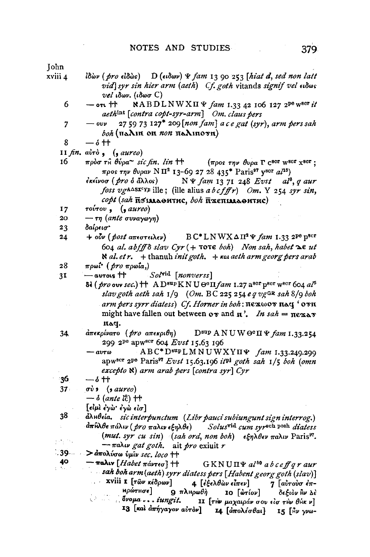- xviii 4  $i\delta\omega\nu$  (pro  $\epsilon i\delta\omega s$ )  $D(\epsilon\iota\delta\omega\nu)$   $\Psi$  fam 13 90 253 [hiat d, sed non latt vid syr sin hier arm (aeth) Cf. goth vitands signif vel ados *vel* ιδων. (ιδωσ  $C$ )
	- NABDLNWXII  $\Psi$  fam 1.33 42 106 127 2<sup>pe</sup> w<sup>ser</sup> it 6  $-$  on  $+$ aethint [contra copt-syr-arm] Om. claus pers
	- 27 59 73 127\* 209 [non fam] a c e gat (syr), arm pers sah  $\overline{7}$  $\omega$ v boh (naAin on non naAinovn)
	- 8  $\delta$  ++
	- 11  $fin.$   $air\delta$ ,  $($ ,  $aureo)$
	- $16<sup>2</sup>$ πρὸσ τ $\hat{H}$  θύρα $\sim$  sic fin. lin  $\uparrow \uparrow$ ( $\pi \rho$ os  $\tau \eta \nu$  θυρα Γ C<sup>scr</sup> W<sup>scr</sup> x<sup>scr</sup>; προς την θυραν ΝΠ<sup>2</sup> 13-69 27 28 435<sup>\*</sup> Paris<sup>97</sup> γ<sup>80</sup>τ αl<sup>15</sup>)
		- έκεῖνοσ ( *pro δ ἄ*λλος)  $N \Psi$  fam 13 71 248 Evst al<sup>8</sup>, q aur foss vgA $\triangle$ sx<sup>c</sup>YP ille; (ille alius abcfffr) Om. Y 254 syr sin, copt (sah позмовитис, boh поещивонтис)
	- $\tau$ <sup>o</sup>*v* $\tau$ <sup>ov</sup> $\theta$ ,  $\theta$  *(* $\theta$ *aureo)*  $17$
	- $20<sub>1</sub>$  $-\tau\eta$  (ante συναγωγη)
	- 23 δαίρεισ"
	- $24$  $+$   $o\bar{v}v$  (*post antertalev*)  $B C^* L N W X \Delta \Pi^2 \Psi$  fam 1.33 2<sup>pe</sup> p<sup>scr</sup> 604 al. abfff  $\delta$  slav  $Cyr$  (+  $\tau$ o $\tau \in$  boh) Non sah, habet  $\Delta \epsilon$  ut  $\aleph$  al. et r.  $+$  thanuh init goth.  $+$  kat aeth arm georg pers arab
	- 28 πρωί<sup>\*</sup> (*pro* πρωΐα,)
	- Solvid [nonverss]  $3<sup>t</sup>$  $-$  avrois  $^{\dagger\dagger}$ 
		- $\delta$ <sup>2</sup> (pro ouv sec.) + AD<sup>sup</sup>KNU  $\Theta$ <sup>o</sup> $\Pi$  fam 1.27 a<sup>sor</sup> p<sup>ser</sup> w<sup>ser</sup> 604 al<sup>5</sup> slav goth aeth sah  $1/9$  (Om. BC 225 254 e q vgGR sah 8/9 boh arm pers syrr diatess) Cf. Horner in boh:  $\pi$ exwov  $\pi$ aq ' ovn might have fallen out between  $\alpha x$  and  $\pi'$ . In sah =  $\pi \epsilon x \Delta x$ raq.
	- 34  $d\pi$ εκρίνατο (pro απεκριθη) D<sup>εαρ</sup> ΑΝ UW Θ<sup>ο</sup>Π Ψ fam 1.33.254 299 2<sup>pe</sup> apw<sup>scr</sup> 604 Evst 15.63 196
		- ABC\*D<sup>sup</sup>LMNUWXYII+ fam 1.33.249.299  $-av\tau\omega$ apw<sup>scr</sup> 2<sup>pe</sup> Paris<sup>97</sup> Evst 15.63.196 it<sup>pl</sup> goth sah 1/5 boh (omn  $excepto$   $\aleph$ ) arm arab pers [contra syr] Cyr

- 16  $\delta$  tr

- $37<sub>1</sub>$  $\sigma v$ ,  $(s \text{ aureo})$ 
	- $\delta$  (ante  $l_0^2$ )  $\uparrow\uparrow$
	- $[\epsilon\omega\omega\epsilon\gamma\omega\epsilon\epsilon\gamma\omega\epsilon\omega]$
- 38 άληθεία, sic interpunctum (Libr pauci subiungunt sign interrog.)  $d$ πĥλθε πάλιν ( pro παλιν εξηλθε) Solusvid cum syrsch posh diatess ÷. (mut. syr cu sin) (sah ord, non boh)  $\epsilon \xi \eta \lambda \theta \epsilon \nu$   $\pi$ aliv Paris<sup>97</sup>.  $\tilde{\gamma}$  and  $\tilde{\gamma}$  $-\pi a\lambda \nu$  gat goth. ait pro exiuit r

139. . . . .  $>$ άπολύσω ύμιν sec. loco ++

 $\frac{40}{1}$ — παλιν [*Habet πάντεσ*] ††  $GKNU\Pi\Psi$  al<sup>60</sup> a b ceff q r aur  $\sim$  sah boh arm(aeth) syrr diatess pers [Habent georg goth (slav)] xviii 1 [ $\tau \hat{\omega} \nu \kappa \hat{\epsilon} \partial \rho \omega \nu$ ] 4 [έξελθὼν εἶπεν] 7 [αὐτούσ έπ-**Ηρώτησε] 9** πληρωθή 10 [wrior] δεξιόν Αν Δέ Svoya... iungit. **11** [τήν μαχαιράν σου είσ τήν θήκ ν] 13 [και άπήγαγον αυτόν] 14 [απολέσθαι] 15 [μν γνω-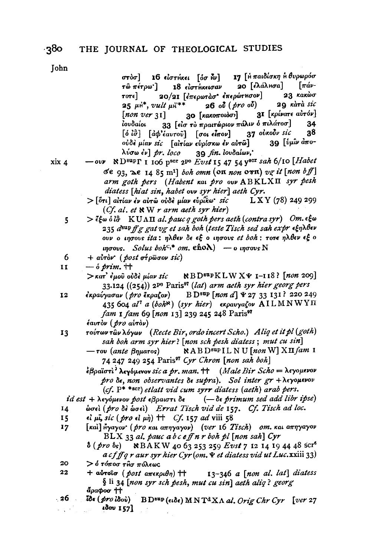στὸσ] 16 είστήκει [όσ Αν] 17 [ ή παιδίσκη ή θυρωρόσ 20 [έλάλΗσα]  $\lceil \pi a \nu$ τῶ πέτρω'] 18 είστηκεισαν 20/21 [επερωτάσ' επερώτησον] 23 κακώσ  $\tau$ o $\tau$ e] 29 Kara sic  $25 \mu$ <sup>1</sup>, vult  $\mu$ 1<sup>\*\*\*</sup>  $26 \text{ of } (pro \text{ of})$ 30 [κακοποιόσι] 31 [κρίνατε αὐτόν]  $[non \; ver \; 31]$ 33 [είσ το πραιτώριον πάλιν ό πιλάτοσ] ίουδαίοι 34  $37$  ούκοὖν sic  $[\delta \hat{i}\hat{\sigma}]$   $[\dot{d}\phi'\hat{\epsilon}av\tau \hat{\nu}\hat{\nu}]$   $[\sigma \omega \hat{\epsilon} \hat{i}\tau \hat{\nu}\nu]$ 38 39 [ύμιν άποούδε μίαν sic [airίαν ευρίσκω έν αυτώ] 39 fin. lovdalwv, λύσω έν] pr. loco

 $xix 4$ 

- ND<sup>sup</sup>r 1 106 pscr 2<sup>pe</sup> Evst 15 47 54 yscr sah 6/10 [Habet  $-$  ovy σε 93,  $\infty$  14 85 m<sup>1</sup>] boh omn (on non ovn) vg it [non bf] arm goth pers (Habent kat pro ouv ABKLXII syr pesh diatess [hiat sin, habet our syr hier] aeth Cyr.
- $>$  [ότι] airiav εν αυτώ ουδε μίαν ευρίκω· sic LXY (78) 249 299  $(Cf. al. et  $\aleph W r$  arm aeth syr hier)$
- $>$   $\tilde{\epsilon}$  two  $\delta t$   $\tilde{\sigma}$  KUAH al. pauc q goth pers aeth (contra syr) Om.  $\epsilon$  two  $\overline{5}$ 235 d<sup>sup</sup> ff g gat vg et sah boh (teste Tisch sed sah expr egn) bev ouv o ingous ita: ηλθεν δε εξ ο ingous et boh: τοτε ηλθεν εξ ο  $m\sigma$ ous. Solus boh<sup>c,\*</sup> om. eho $\lambda$ ) — o  $m\sigma$ ous N

$$
6 + \text{a} \cdot \text{b} \cdot (\text{post of } \rho \text{ is a } \text{si})
$$

- $\delta$  prim.  $\uparrow\uparrow$  $\mathbf{I}$ 
	- $>$ κατ' έμοῦ οὐδὲ μίαν si $c$  $RBD^{sup}KLWX\Psi$  1-118? [non 209] 33.124  $((254))$  2<sup>pe</sup> Paris<sup>97</sup> (lat) arm aeth syr hier georg pers
- B D<sup>sup</sup> [non d]  $\text{Y }$  27 33 131? 220 249 12 εκραύγασαν ( pro εκραζον) 435 604  $al^7$  a (boh<sup>N</sup>) (syr hier) expavyaζov AILMNWYII fam 1 fam 69 [non 13] 239 245 248 Paris<sup>97</sup>

- τούτων των λόγων (Recte Bir, ordo incert Scho.) Aliq et it pl (goth) 13 sah boh arm syr hier? [non sch pesh diatess; mut cu sin] NAB D<sup>sup</sup> IL NU [non W] XII fam I  $-$  του (ante βηματος)
	- 74 247 249 254 Paris<sup>97</sup> Cyr Chron [non sah boh]

 $\frac{1}{2}$ βραϊστι<sup>3</sup> λεγόμενον sic a pr. man. †† (Male Bir Scho = λεγομενον  $\mathit{pro}\$  de, non observantes de supra). Sol inter  $\mathit{gr}$  +  $\lambda$ eyouevov (cf.  $P^*$ \*scr) etlatt vid cum syrr diatess (aeth) arab pers.

id est + λεγόμενον post εβραιστι δε  $(-\delta \epsilon \text{ primary} \text{ sed } \text{add} \text{ libr } \text{ipse})$ 

- ώσελ (pro δέ ωσελ) Errat Tisch vid de 157. Cf. Tisch ad loc. 14
- el  $\mu$ i, sic (pro el  $\mu$ *n*) + Cf. 157 ad viii 58 15
- [каі] нуауор (pro как аппуауор) (ver 16 Tisch) от. как аппуауор  $17$  $BLX$  33 al. pauc a b c e ff n r boh pl [non sah] Cyr

&BAKW 40 63 253 259 Evst 7 12 14 19 44 48 scr<sup>6</sup>  $\delta$  (*pro*  $\delta_{\rm S}$ )  $\arg\inf_{\mathcal{A}} g$  r aur syr hier Cyr (om.  $\Psi$  et diatess vid ut Luc. xxiii 33)

- $20<sub>o</sub>$ > ό τόποσ τθσ πόλεως
- $22$ + αύτοισ (post απεκριθη) ++ 13-346 a [non al. lat] diatess § li 34 [non syr sch pesh, mut cu sin] aeth aliq? georg άραφοσ ††
- $-26$  $\mathit{loc}\ (\mathit{pro}\ \mathit{low})$ BD<sup>sup</sup> (ειδε) MNT<sup>d</sup>XΛ al. Orig Chr Cyr [ver 27  $\lambda$ dov 157]

.380

έαυτον (pro αύτον)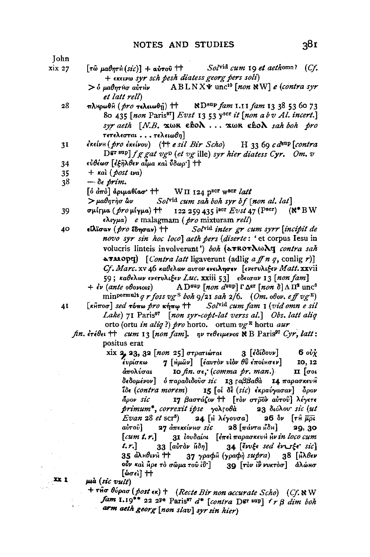**John** xix 27  $\lceil \tau \hat{\omega} \mu a \theta n \tau \hat{H} (s i c) \rceil + a \hat{\omega} \tau o \hat{\omega}$  +  $Sol^{\text{vid}}$  cum 19 et aethomn? (Cf. + EXELVIO SVY sch besh diatess georg pers soli)  $ABLNX\Psi$  unc<sup>10</sup> [non NW] e (contra syr  $>$   $\delta$  *ua* $\theta$ *ntho airthy* et latt rell ND<sup>sup</sup> fam 1.11 fam 13 38 53 60 73 28 πλΗρωθΗ ( pro τελειωθή) ++ 80 435 [non Paris<sup>97</sup>] Evst 13 53 y<sup>scr</sup> it [non a b v Al. incert.]  $syr$  aeth  $[N.B. \text{ x} \omega \kappa \epsilon \text{e} \kappa \lambda ... \text{ x} \omega \kappa \epsilon \text{e} \kappa \lambda \text{ sa} \kappa \text{ bo} \kappa \text{ pro}$ τετελεσται...τελειωθη]  $\epsilon$ κείνη (pro εκείνου) (+ e sil Bir Scho) H 33 60 c  $d^{\text{sup}}$  [contra 31 Der sup] f g gat vg $\mathcal{D}$  (et vg ille) syr hier diatess Cyr. Om. v εὐθέωσ Γέξηλθεν αίμα και ΰδωο Τ ++  $34$  $+$   $\kappa$ al (*post wa*) 35  $38$  $-\delta \epsilon$  prim.  $\lceil \delta \, d\pi \delta \rceil$  αριμαθίασ'  $\uparrow \uparrow$  $W\Pi$  124 pser wser latt  $>$ μαθητήσ ὣν Solvid cum sah boh syr bf [non al. lat] 122 259 435 iscr  $Evst$  47 (Pscr)  $(N^*BW)$ 39 σμίτμα ( pro μίγμα) ++  $\epsilon \lambda \psi \mu a$ ) e malagmam (pro mixturam rell)  $40$ Solvid inter gr cum syrr [incipit de eΐλϊσαν (*pro* έδησαν) †† novo syr sin hoc locol aeth pers (diserte: 'et corpus Iesu in volucris linteis involverunt') boh (απκοπλωλε contra sah  $\alpha$ Tuope) [*Contra latt* ligaverunt (adlig a ff n q, conlig r)] Cf. Marc. xv 46 καθελων αυτον ενειλησεν [ενετυλιξεν Matt. xxvii 59; καθελων ενετυλιξεν *Luc.* xxiii 53] εδεισαν 13 [non fam] A D<sup>sup</sup>  $[$ *non*  $d^{\text{sup}}$   $\Gamma$   $\Delta$ <sup>gr</sup>  $[$ *non*  $\delta$  $]$   $\Lambda$   $\Pi$ <sup>2</sup> unc<sup>6</sup>  $+$   $\dot{\epsilon}$ ν (ante oboviois) minpermult q r foss  $v g^S$  boh  $g/2I$  sah  $2/6$ . (Om. of ov. eff  $v g^E$ ) 41  $\lceil \kappa \hat{H} \pi \hat{\sigma} \hat{\sigma} \rceil$  sed  $\tau$  of  $\pi \hat{\sigma}$   $\kappa \hat{\eta} \pi \hat{\sigma}$   $\uparrow \uparrow$  Sol<sup>vid</sup> cum fam  $\iota$  (*vid omn e sil* Lake) 71 Paris<sup>97</sup> [non syr-copt-lat verss al.] Obs. latt alig orto (ortu in aliq?) pro horto. ortum  $v g^R$  hortu aur  $fin.$   $\epsilon \tau \epsilon \theta \epsilon \iota$  |  $\tau$   $cum$  13  $[non$   $fam]$ ,  $np$   $\tau \epsilon \theta \epsilon \iota \mu \epsilon \nu$   $\delta$  B  $\text{Paris}^{gr}$   $Cyr$ ,  $latt$ : positus erat xix 2, 23, 32 [non 25] στρατιώται 3 [εδίδουν]  $6\,\omega_Y$ 7 [Ημών] [εαυτόν υίδν θΰ εποίκσεν] 10, 12 έυρίσκω άπολύσαι Io  $fin. \sigma \epsilon$ ; (comma  $pr. \text{man.}$ )

 $II$   $\sigma$ δεδομένον] όπαραδιδούσ sic 13 Γαββαθά 14 παρασκευθ 15 [οι δε (sic) εκραύγασαν] άρον ไอ๊ะ (contra morem) ãoor sic 17 βαστάζον Η Γτον στρον αύτου λέγετε primum\*, correxit ipse yohrobà  $23$  διόλου sic (ut  $Evan 28$  et scr<sup>5</sup>) 24 [Η λέγουσα] 26 δν [τη μρι αύτου 27 απεκείν**μ**σ sic 28  $\lceil \pi$ άντα μδη $\rceil$ 29, 30  $[cum t, r.]$ 31 Ιουδαίοι [επει παρασκευν θιν in loco cum  $33$   $\lceil a\overrightarrow{v}r\overrightarrow{o}r \rceil$  $34$  levels sed evote sich  $t, r$ 35 ἀλ<sub>Η</sub>θινή Η 37 γραφή (γραφή supra) 38 [Ηλθεν οὖν καὶ Hpe τὸ σῶμα τοῦ ἰΰ ] 30 [τὸν ἰν ννκτὸσ] άλώμσ [စ် $\sigma$ єો] ††

μιά (sic vult)

 $\mathbf{X}$ 

+  $\tau$ H $\sigma$   $\theta$ ύρασ (post  $\epsilon \kappa$ ) + (Recte Bir non accurate Scho) (Cf. NW  $fam$  1.19\*\* 22 2Pe Paris<sup>97</sup>  $d^*$  [contra Dgr sup]  $f \rbeta$  dim boh arm aeth georg [non slav] syr sin hier)

 $38<sub>I</sub>$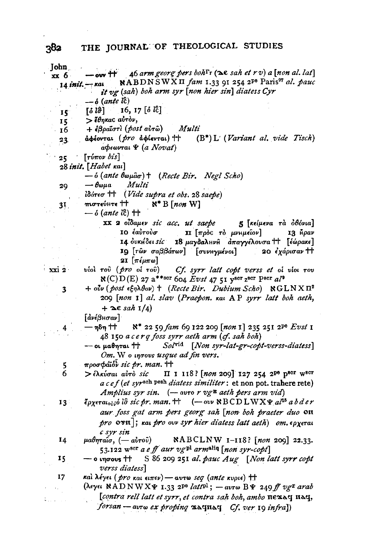| John.           |                                                                                                                                                                            |
|-----------------|----------------------------------------------------------------------------------------------------------------------------------------------------------------------------|
| xx 6            | - ow $H$ 46 arm georg pers boh $\Gamma$ r ( $\infty$ e sah et r v) a [non al. lat]                                                                                         |
|                 | NABDNSWXII fam 1.33 91 254 2 <sup>pe</sup> Paris <sup>97</sup> al. pauc<br>$14$ init. $-$ rat                                                                              |
|                 | it vg (sah) boh arm syr [non hier sin] diatess Cyr                                                                                                                         |
|                 | $=$ $\delta$ (ante $l\tilde{c}$ )                                                                                                                                          |
| 15              | $[\delta \hat{l}\hat{\sigma}]$ 16, 17 $[\delta \hat{l}\hat{c}]$                                                                                                            |
| 15              | > έθηκας αύτον,                                                                                                                                                            |
| 16              | $+$ έβραϊστι (post αυτώ)<br>Multi                                                                                                                                          |
| 23.             | αφέονται (pro αφίενται) +<br>(B*) L (Variant al. vide Tisch)                                                                                                               |
|                 | aφεωνται <i>Ψ</i> (a Novat)                                                                                                                                                |
| 25              | $\lceil \tau \nu \pi \circ \nu \, bis \rceil$                                                                                                                              |
|                 | 28 init. [Habet kai]                                                                                                                                                       |
|                 | — δ (ante θωμασ) † (Recte Bir. Negl Scho)                                                                                                                                  |
| 29              | Multi<br>— воµа                                                                                                                                                            |
|                 | lδότεσ ++ (Vide supra et obs. 28 saepe)                                                                                                                                    |
| 31              | πιστεύμτε ΤΤ<br>$\aleph^*$ B [non W]                                                                                                                                       |
|                 | $ \delta$ (ante $i\hat{c}$ ) $\uparrow\uparrow$                                                                                                                            |
|                 | XX 2 οίδαμεν sic acc. ut saepe 5 [κείμενα τα οθόνια]                                                                                                                       |
|                 | 10 έαὐτοὺσ<br>π [πρός τό μνημείον]<br>$13 \hbox{ h}$                                                                                                                       |
|                 | 14 ουκήδει sic 18 μαχδαληνή απαγγέλουσα <sup>++</sup> [έώρακε]                                                                                                             |
|                 | 19 [τῶν σαββάτων] [συνΗγμένοι] 20 έχάρισαν <sup>++</sup>                                                                                                                   |
|                 | 21 [πέμπω]                                                                                                                                                                 |
| xxi 2           | viol του (pro oi του) Cf. syrr latt copt verss et oi viol του                                                                                                              |
|                 | $\aleph(C) D(E)$ 27 a <sup>**scr</sup> 604 Evst 47 51 yser zeer Pser al <sup>9</sup>                                                                                       |
| 3               | $+$ ov $\nu$ (post $\epsilon \xi \eta \lambda \theta$ ov) $+$ (Recte Bir. Dubium Scho) $\aleph$ GLNX $\Pi^2$                                                               |
|                 | 209 [non 1] al. slav (Praepon. Kat AP syrr latt boh aeth,                                                                                                                  |
|                 | $+$ $\in$ sah $1/4$ )                                                                                                                                                      |
|                 | [άνέβμσαν]                                                                                                                                                                 |
|                 | N* 22 59 fam 69 122 209 [non 1] 235 251 2 <sup>p6</sup> Evst 1<br>— ηδη ተተ                                                                                                 |
|                 | 48 150 a cerq foss syrr aeth arm (cf. sah boh)                                                                                                                             |
|                 | Solvid [Non syr-lat-gr-copt-verss-diatess]<br>- or μαθηται ††                                                                                                              |
|                 | Om. We uprovs usque ad fin vers.                                                                                                                                           |
|                 | προσφάϊδν sic pr. man. ++                                                                                                                                                  |
| $\frac{5}{6}$   | > ελκύσαι αύτο sic ΠΙΙΙΙ8? [non 209] 127 254 2Pe pscr wscr                                                                                                                 |
|                 | $a c e f (et syrsch peak diates similar: et non pot. trahere rete)$                                                                                                        |
|                 | Amplius syr sin. $(-\text{avro } r \text{ v} g^{\text{E}} \text{ a} \text{ e} t \text{h} \text{ pers arm vid})$                                                            |
| 13 <sup>°</sup> | $\zeta_{\rho\chi\epsilon\tau a_{\rho\phi\hat{\nu}}\hat{\rho}}$ io sic pr. man. + $(-$ ov NBCD LWX $\psi$ al <sup>15</sup> a b d e r                                        |
|                 | aur foss gat arm pers georg sah [non boh praeter duo on                                                                                                                    |
|                 | $\text{for }$ $\sigma$ $\text{or}$ $\pi$ ]; $\text{tan }$ $\text{pro }$ $\sigma$ $\text{over }$ $\text{where }$ diatess latt aeth) $\text{om}$ , $\epsilon$ $\text{over }$ |
|                 | c syr sin                                                                                                                                                                  |
| 14              | $\mu$ αθηταΐσ, (- αὐτοῦ) ΝΑΒCLNW 1-118? [non 209] 22.33.                                                                                                                   |
|                 | 53.122 w <sup>scr</sup> a e ff aur vg <sup>pl</sup> arm <sup>aliq</sup> [non syr-copt]                                                                                     |
| 15              | $-$ o ingrous $+$ S 86 209 251 al. pauc Aug [Non latt syrr copt                                                                                                            |
|                 | verss diatess]                                                                                                                                                             |
| 17              | καί λέγει ( <i>pro και ειπεν</i> ) - αυτω seq (ante κυριε) ++                                                                                                              |
|                 | (λεγει ΝΑDΝWXΨ 1.33 2 <sup>pe</sup> latt <sup>pl</sup> ; - aυτω ΒΨ 249 ff vg <sup>z</sup> arab                                                                             |
|                 | [contra rell latt et syrr, et contra sah boh, ambo nexay nay,                                                                                                              |
|                 | forsan - avrw ex proping xaynay Cf. ver 19 infra])                                                                                                                         |
|                 |                                                                                                                                                                            |

 $\sim$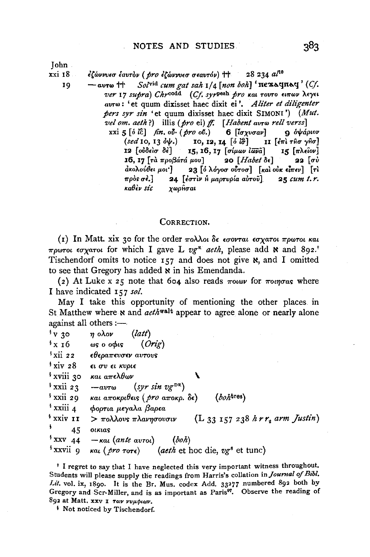xxi 18 19

*l(&ivvv•u lavrov (pro l(&ivvv•u u•avrov)* tt 28 234 a/1°

- $Sol<sup>vid</sup>$  *cum gat sah*  $1/4$  *[non boh]* 'nexaqnaq' (*Cf. ver* 17 *supra)* Ckyeodd (CJ. *syrP••h pro icai rovro* rnroov A•'Yn *avroo:* 'et quum dixisset haec dixit ei '. *Aliter et diligenter pers syr sin* 'et quum dixisset haec dixit SIMONI') *(Mut.* 
	- *vel om. aetk* ?) illis *(pro* ei) ff. [ *Habent avroo rell verss]*  xxi 5 [ $\delta$  *i*c] *fin.* ov. *(pro oi.*) 6 *[ioxyoav]* 9  $\delta \psi$ ápiov (sed 10, 13  $\delta \psi$ .) **10, 12, 14** [ $\delta$  *ich*] 11 [ $\epsilon$ m ifio  $\gamma$ io] *(sed* 10, 13 ἀψ.) 10, 12, 14 [ό ἰσ͡] 11 [ἐπὶ τĤσ γĤσ]<br>12 [οὐδεὶσ δὲ] 15, 16, 17 [σίμων ἰῶνᾶ] 15 [πλείον] **15, 16, 17** [σίμων *ιωνδεί ]*<br>| μου] **20** [Habet δε] **16, 17** *[ra προβάτά μου] 20 <i>[Habet δε]* **22** *[συ άκολούθει μοι']* **23** *[δυ λόγοσ ούτοσ] [και ούκ είπεν*] *[τι* 23 <sup>[ό</sup> λόγοσ ούτοσ] [και ούκ είπεν] [τι πρὸs σè.] 24 [ἐστὶν ἡ μαρτυρία αὐτοῦ] 25 *cum t. r.*<br>καθèv sic νωοὃσαι *icaBiv sic xoopltuai*

## CORRECTION.

( $I$ ) In Matt. xix 30 for the order  $\pi o \lambda \lambda o \iota$  *δε εσονται εσ* χα*τοι πρωτοι και*  $\pi$ *pwrot*  $\epsilon \sigma$ *xarot* for which I gave L  $v e^{R}$  *aeth*, please add **N** and 892<sup>t</sup> Tischendorf omits to notice  $157$  and does not give  $\aleph$ , and I omitted to see that Gregory has added  $\boldsymbol{\kappa}$  in his Emendanda.

(2) At Luke x 25 note that 604 also reads  $\pi$ *owv* for  $\pi$ *ovoras* where I have indicated 157 *sol.* 

May I take this opportunity of mentioning the other places in St Matthew where **N** and *aeth*<sup>walt</sup> appear to agree alone or nearly alone against all others  $:$ --

| $\mathbf{v}$ 30       | (latt)<br>η ολον                                                      |
|-----------------------|-----------------------------------------------------------------------|
| $\frac{1}{2}$ x 16    | (Orig)<br>ως ο οφις                                                   |
| $\frac{1}{2}$ xii 22  | εθεραπευσεν αυτους                                                    |
| $\frac{1}{2}$ xiv 28  | ει συ ει κυριε                                                        |
| * xviii 30            | και απελθων                                                           |
| $\frac{1}{2}$ xxii 23 | $(syr \sin \nu g^{DR})$<br>$-av\tau\omega$                            |
| <sup>\$</sup> xxii 29 | $(boh$ tres)<br>και αποκριθεις ( <i>pro</i> αποκρ. δε)                |
| $^{\dagger}$ xxiii 4  | φορτια μεγαλα βαρεα                                                   |
| <sup>\$</sup> xxiv 11 | $(L_{33} 157 238 hrr_2 arm Justin)$<br>$>$ πολλους πλανησουσιν        |
| ş.<br>45              | οικιας                                                                |
| $\frac{1}{2}$ XXV 44  | $-\kappa a\$ (ante $a\text{v}$ roi)<br>(boh)                          |
| $\frac{1}{2}$ xxvii 9 | και ( pro τοτε)<br>( <i>aeth</i> et hoc die, vg <sup>6</sup> et tunc) |

t I regret to say that I have neglected this very important witness throughout. Students will please supply the readings from Harris's collation in *Journal of Bibl.* Lit. vol. ix, 1890. It is the Br. Mus. codex Add. 33277 numbered 892 both by Gregory and Scr-Miller, and is as important as Paris<sup>97</sup>. Observe the reading of 892 at Matt. xxv I Tov vvµptov.

<sup>*i*</sup> Not noticed by Tischendorf.